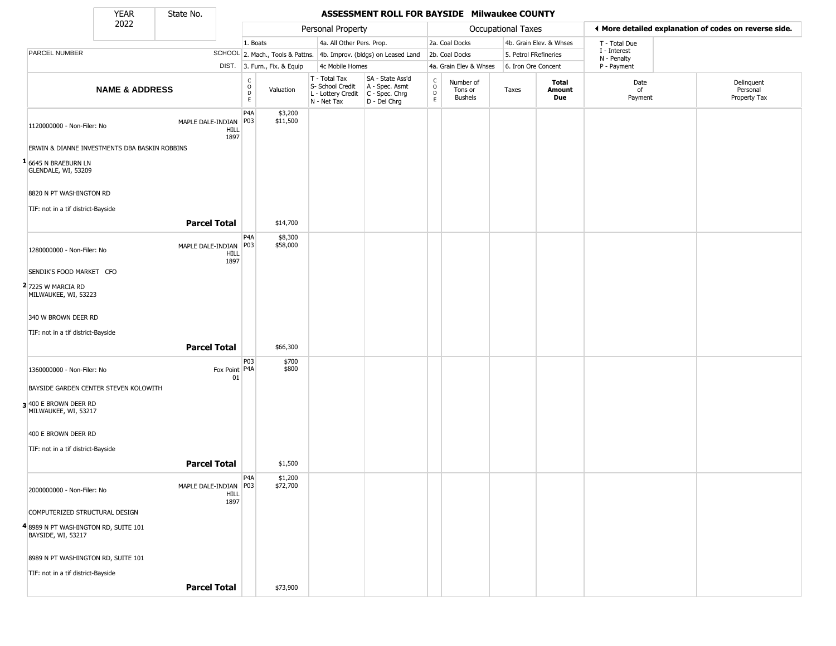State No.

#### YEAR **ASSESSMENT ROLL FOR BAYSIDE Milwaukee COUNTY**

|                                                           | 2022                      |                                                |                  |                              | Personal Property                                                      |                                                                      |                                            |                                        | Occupational Taxes    |                         | ◀ More detailed explanation of codes on reverse side. |                                        |
|-----------------------------------------------------------|---------------------------|------------------------------------------------|------------------|------------------------------|------------------------------------------------------------------------|----------------------------------------------------------------------|--------------------------------------------|----------------------------------------|-----------------------|-------------------------|-------------------------------------------------------|----------------------------------------|
|                                                           |                           |                                                | 1. Boats         |                              | 4a. All Other Pers. Prop.                                              |                                                                      |                                            | 2a. Coal Docks                         |                       | 4b. Grain Elev. & Whses | T - Total Due                                         |                                        |
| PARCEL NUMBER                                             |                           |                                                |                  |                              |                                                                        | SCHOOL 2. Mach., Tools & Pattns. 4b. Improv. (bldgs) on Leased Land  |                                            | 2b. Coal Docks                         | 5. Petrol FRefineries |                         | I - Interest<br>N - Penalty                           |                                        |
|                                                           |                           |                                                |                  | DIST. 3. Furn., Fix. & Equip | 4c Mobile Homes                                                        |                                                                      |                                            | 4a. Grain Elev & Whses                 | 6. Iron Ore Concent   |                         | P - Payment                                           |                                        |
|                                                           | <b>NAME &amp; ADDRESS</b> |                                                | C<br>D<br>D<br>E | Valuation                    | T - Total Tax<br>S- School Credit<br>L - Lottery Credit<br>N - Net Tax | SA - State Ass'd<br>A - Spec. Asmt<br>C - Spec. Chrg<br>D - Del Chrg | $\begin{array}{c} C \\ O \\ E \end{array}$ | Number of<br>Tons or<br><b>Bushels</b> | Taxes                 | Total<br>Amount<br>Due  | Date<br>of<br>Payment                                 | Delinquent<br>Personal<br>Property Tax |
| 1120000000 - Non-Filer: No                                |                           | MAPLE DALE-INDIAN   P03<br>HILL<br>1897        | P4A              | \$3,200<br>\$11,500          |                                                                        |                                                                      |                                            |                                        |                       |                         |                                                       |                                        |
| ERWIN & DIANNE INVESTMENTS DBA BASKIN ROBBINS             |                           |                                                |                  |                              |                                                                        |                                                                      |                                            |                                        |                       |                         |                                                       |                                        |
| <sup>1</sup> 6645 N BRAEBURN LN<br>GLENDALE, WI, 53209    |                           |                                                |                  |                              |                                                                        |                                                                      |                                            |                                        |                       |                         |                                                       |                                        |
| 8820 N PT WASHINGTON RD                                   |                           |                                                |                  |                              |                                                                        |                                                                      |                                            |                                        |                       |                         |                                                       |                                        |
| TIF: not in a tif district-Bayside                        |                           |                                                |                  |                              |                                                                        |                                                                      |                                            |                                        |                       |                         |                                                       |                                        |
|                                                           |                           | <b>Parcel Total</b>                            |                  | \$14,700                     |                                                                        |                                                                      |                                            |                                        |                       |                         |                                                       |                                        |
| 1280000000 - Non-Filer: No                                |                           | MAPLE DALE-INDIAN<br>HILL<br>1897              | P4A<br>P03       | \$8,300<br>\$58,000          |                                                                        |                                                                      |                                            |                                        |                       |                         |                                                       |                                        |
| SENDIK'S FOOD MARKET CFO                                  |                           |                                                |                  |                              |                                                                        |                                                                      |                                            |                                        |                       |                         |                                                       |                                        |
| 2 7225 W MARCIA RD<br>MILWAUKEE, WI, 53223                |                           |                                                |                  |                              |                                                                        |                                                                      |                                            |                                        |                       |                         |                                                       |                                        |
| 340 W BROWN DEER RD                                       |                           |                                                |                  |                              |                                                                        |                                                                      |                                            |                                        |                       |                         |                                                       |                                        |
| TIF: not in a tif district-Bayside                        |                           |                                                |                  |                              |                                                                        |                                                                      |                                            |                                        |                       |                         |                                                       |                                        |
|                                                           |                           | <b>Parcel Total</b>                            |                  | \$66,300                     |                                                                        |                                                                      |                                            |                                        |                       |                         |                                                       |                                        |
| 1360000000 - Non-Filer: No                                |                           | Fox Point P4A<br>01                            | P03              | \$700<br>\$800               |                                                                        |                                                                      |                                            |                                        |                       |                         |                                                       |                                        |
| BAYSIDE GARDEN CENTER STEVEN KOLOWITH                     |                           |                                                |                  |                              |                                                                        |                                                                      |                                            |                                        |                       |                         |                                                       |                                        |
| 3 400 E BROWN DEER RD<br>MILWAUKEE, WI, 53217             |                           |                                                |                  |                              |                                                                        |                                                                      |                                            |                                        |                       |                         |                                                       |                                        |
| 400 E BROWN DEER RD                                       |                           |                                                |                  |                              |                                                                        |                                                                      |                                            |                                        |                       |                         |                                                       |                                        |
| TIF: not in a tif district-Bayside                        |                           |                                                |                  |                              |                                                                        |                                                                      |                                            |                                        |                       |                         |                                                       |                                        |
|                                                           |                           | <b>Parcel Total</b>                            |                  | \$1,500                      |                                                                        |                                                                      |                                            |                                        |                       |                         |                                                       |                                        |
| 2000000000 - Non-Filer: No                                |                           | MAPLE DALE-INDIAN   P03<br><b>HILL</b><br>1897 | P <sub>4</sub> A | \$1,200<br>\$72,700          |                                                                        |                                                                      |                                            |                                        |                       |                         |                                                       |                                        |
| COMPUTERIZED STRUCTURAL DESIGN                            |                           |                                                |                  |                              |                                                                        |                                                                      |                                            |                                        |                       |                         |                                                       |                                        |
| 48989 N PT WASHINGTON RD, SUITE 101<br>BAYSIDE, WI, 53217 |                           |                                                |                  |                              |                                                                        |                                                                      |                                            |                                        |                       |                         |                                                       |                                        |
| 8989 N PT WASHINGTON RD, SUITE 101                        |                           |                                                |                  |                              |                                                                        |                                                                      |                                            |                                        |                       |                         |                                                       |                                        |
| TIF: not in a tif district-Bayside                        |                           |                                                |                  |                              |                                                                        |                                                                      |                                            |                                        |                       |                         |                                                       |                                        |
|                                                           |                           | <b>Parcel Total</b>                            |                  | \$73,900                     |                                                                        |                                                                      |                                            |                                        |                       |                         |                                                       |                                        |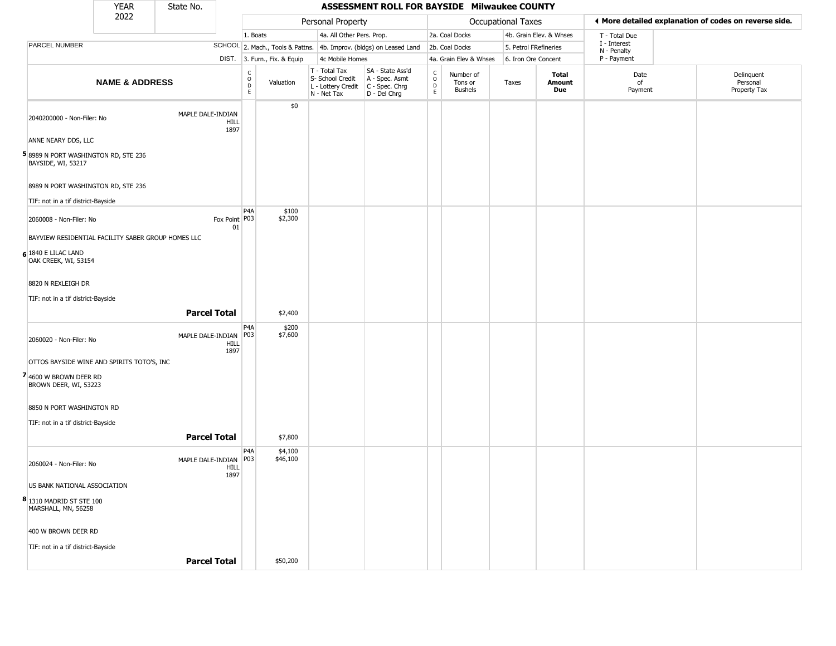|                                                           | <b>YEAR</b>                                        | State No.               |                     |                         |                              |                                                                        | ASSESSMENT ROLL FOR BAYSIDE Milwaukee COUNTY                           |                                                          |                                        |                           |                         |                             |                                                       |
|-----------------------------------------------------------|----------------------------------------------------|-------------------------|---------------------|-------------------------|------------------------------|------------------------------------------------------------------------|------------------------------------------------------------------------|----------------------------------------------------------|----------------------------------------|---------------------------|-------------------------|-----------------------------|-------------------------------------------------------|
|                                                           | 2022                                               |                         |                     |                         |                              | Personal Property                                                      |                                                                        |                                                          |                                        | <b>Occupational Taxes</b> |                         |                             | ♦ More detailed explanation of codes on reverse side. |
|                                                           |                                                    |                         |                     | 1. Boats                |                              | 4a. All Other Pers. Prop.                                              |                                                                        |                                                          | 2a. Coal Docks                         |                           | 4b. Grain Elev. & Whses | T - Total Due               |                                                       |
| <b>PARCEL NUMBER</b>                                      |                                                    |                         |                     |                         |                              |                                                                        | SCHOOL 2. Mach., Tools & Pattns. 4b. Improv. (bldgs) on Leased Land    |                                                          | 2b. Coal Docks                         | 5. Petrol FRefineries     |                         | I - Interest<br>N - Penalty |                                                       |
|                                                           |                                                    |                         |                     |                         | DIST. 3. Furn., Fix. & Equip | 4c Mobile Homes                                                        |                                                                        |                                                          | 4a. Grain Elev & Whses                 | 6. Iron Ore Concent       |                         | P - Payment                 |                                                       |
|                                                           | <b>NAME &amp; ADDRESS</b>                          |                         |                     | C<br>$\circ$<br>D<br>E. | Valuation                    | T - Total Tax<br>S- School Credit<br>L - Lottery Credit<br>N - Net Tax | SA - State Ass'd<br>A - Spec. Asmt<br>$C - Spec. Chrg$<br>D - Del Chrg | $\begin{matrix} 0 \\ 0 \\ D \end{matrix}$<br>$\mathsf E$ | Number of<br>Tons or<br><b>Bushels</b> | Taxes                     | Total<br>Amount<br>Due  | Date<br>of<br>Payment       | Delinquent<br>Personal<br>Property Tax                |
| 2040200000 - Non-Filer: No                                |                                                    | MAPLE DALE-INDIAN       | <b>HILL</b><br>1897 |                         | \$0                          |                                                                        |                                                                        |                                                          |                                        |                           |                         |                             |                                                       |
| ANNE NEARY DDS, LLC                                       |                                                    |                         |                     |                         |                              |                                                                        |                                                                        |                                                          |                                        |                           |                         |                             |                                                       |
| 58989 N PORT WASHINGTON RD, STE 236<br>BAYSIDE, WI, 53217 |                                                    |                         |                     |                         |                              |                                                                        |                                                                        |                                                          |                                        |                           |                         |                             |                                                       |
| 8989 N PORT WASHINGTON RD, STE 236                        |                                                    |                         |                     |                         |                              |                                                                        |                                                                        |                                                          |                                        |                           |                         |                             |                                                       |
| TIF: not in a tif district-Bayside                        |                                                    |                         |                     |                         |                              |                                                                        |                                                                        |                                                          |                                        |                           |                         |                             |                                                       |
| 2060008 - Non-Filer: No                                   |                                                    |                         | Fox Point P03<br>01 | P <sub>4</sub> A        | \$100<br>\$2,300             |                                                                        |                                                                        |                                                          |                                        |                           |                         |                             |                                                       |
|                                                           | BAYVIEW RESIDENTIAL FACILITY SABER GROUP HOMES LLC |                         |                     |                         |                              |                                                                        |                                                                        |                                                          |                                        |                           |                         |                             |                                                       |
| 6 1840 E LILAC LAND<br>OAK CREEK, WI, 53154               |                                                    |                         |                     |                         |                              |                                                                        |                                                                        |                                                          |                                        |                           |                         |                             |                                                       |
| 8820 N REXLEIGH DR                                        |                                                    |                         |                     |                         |                              |                                                                        |                                                                        |                                                          |                                        |                           |                         |                             |                                                       |
| TIF: not in a tif district-Bayside                        |                                                    |                         |                     |                         |                              |                                                                        |                                                                        |                                                          |                                        |                           |                         |                             |                                                       |
|                                                           |                                                    |                         | <b>Parcel Total</b> |                         | \$2,400                      |                                                                        |                                                                        |                                                          |                                        |                           |                         |                             |                                                       |
| 2060020 - Non-Filer: No                                   |                                                    | MAPLE DALE-INDIAN   P03 | <b>HILL</b><br>1897 | P <sub>4</sub> A        | \$200<br>\$7,600             |                                                                        |                                                                        |                                                          |                                        |                           |                         |                             |                                                       |
|                                                           | OTTOS BAYSIDE WINE AND SPIRITS TOTO'S, INC         |                         |                     |                         |                              |                                                                        |                                                                        |                                                          |                                        |                           |                         |                             |                                                       |
| 4600 W BROWN DEER RD<br>BROWN DEER, WI, 53223             |                                                    |                         |                     |                         |                              |                                                                        |                                                                        |                                                          |                                        |                           |                         |                             |                                                       |
| 8850 N PORT WASHINGTON RD                                 |                                                    |                         |                     |                         |                              |                                                                        |                                                                        |                                                          |                                        |                           |                         |                             |                                                       |
| TIF: not in a tif district-Bayside                        |                                                    |                         |                     |                         |                              |                                                                        |                                                                        |                                                          |                                        |                           |                         |                             |                                                       |
|                                                           |                                                    |                         | <b>Parcel Total</b> |                         | \$7,800                      |                                                                        |                                                                        |                                                          |                                        |                           |                         |                             |                                                       |
| 2060024 - Non-Filer: No                                   |                                                    | MAPLE DALE-INDIAN   P03 | HILL<br>1897        | P <sub>4</sub> A        | \$4,100<br>\$46,100          |                                                                        |                                                                        |                                                          |                                        |                           |                         |                             |                                                       |
| US BANK NATIONAL ASSOCIATION                              |                                                    |                         |                     |                         |                              |                                                                        |                                                                        |                                                          |                                        |                           |                         |                             |                                                       |
| 8 1310 MADRID ST STE 100<br>MARSHALL, MN, 56258           |                                                    |                         |                     |                         |                              |                                                                        |                                                                        |                                                          |                                        |                           |                         |                             |                                                       |
| 400 W BROWN DEER RD                                       |                                                    |                         |                     |                         |                              |                                                                        |                                                                        |                                                          |                                        |                           |                         |                             |                                                       |
| TIF: not in a tif district-Bayside                        |                                                    |                         |                     |                         |                              |                                                                        |                                                                        |                                                          |                                        |                           |                         |                             |                                                       |
|                                                           |                                                    |                         | <b>Parcel Total</b> |                         | \$50,200                     |                                                                        |                                                                        |                                                          |                                        |                           |                         |                             |                                                       |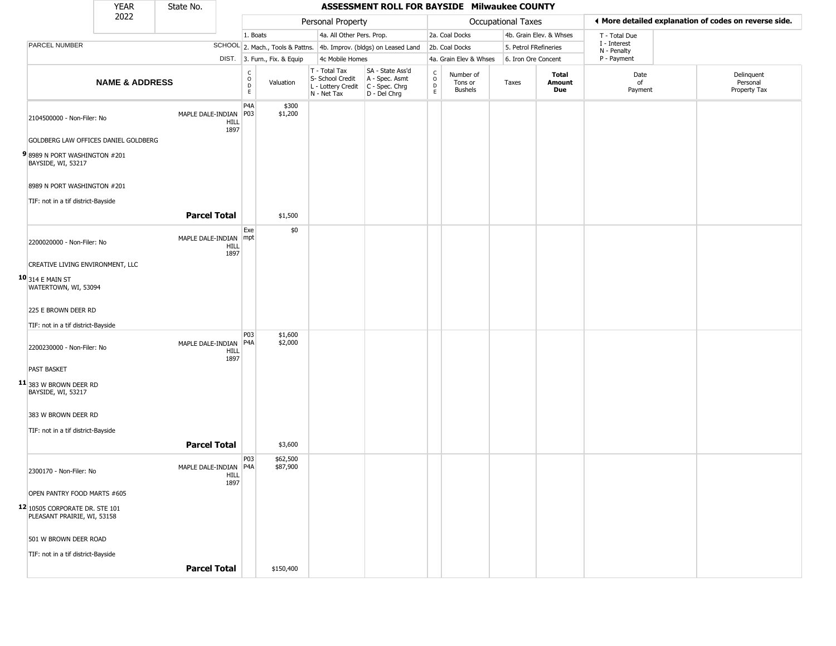|                                                               | <b>YEAR</b>               | State No.               |                     |                                     |                              |                                                                        | ASSESSMENT ROLL FOR BAYSIDE Milwaukee COUNTY                         |                                              |                                        |                       |                         |                             |                                                       |
|---------------------------------------------------------------|---------------------------|-------------------------|---------------------|-------------------------------------|------------------------------|------------------------------------------------------------------------|----------------------------------------------------------------------|----------------------------------------------|----------------------------------------|-----------------------|-------------------------|-----------------------------|-------------------------------------------------------|
|                                                               | 2022                      |                         |                     |                                     |                              | Personal Property                                                      |                                                                      |                                              |                                        | Occupational Taxes    |                         |                             | ♦ More detailed explanation of codes on reverse side. |
|                                                               |                           |                         |                     | 1. Boats                            |                              | 4a. All Other Pers. Prop.                                              |                                                                      |                                              | 2a. Coal Docks                         |                       | 4b. Grain Elev. & Whses | T - Total Due               |                                                       |
| PARCEL NUMBER                                                 |                           |                         |                     |                                     |                              |                                                                        | SCHOOL 2. Mach., Tools & Pattns. 4b. Improv. (bldgs) on Leased Land  |                                              | 2b. Coal Docks                         | 5. Petrol FRefineries |                         | I - Interest<br>N - Penalty |                                                       |
|                                                               |                           |                         |                     |                                     | DIST. 3. Furn., Fix. & Equip | 4c Mobile Homes                                                        |                                                                      |                                              | 4a. Grain Elev & Whses                 | 6. Iron Ore Concent   |                         | P - Payment                 |                                                       |
|                                                               | <b>NAME &amp; ADDRESS</b> |                         |                     | $\rm ^c_o$<br>D<br>E                | Valuation                    | T - Total Tax<br>S- School Credit<br>L - Lottery Credit<br>N - Net Tax | SA - State Ass'd<br>A - Spec. Asmt<br>C - Spec. Chrg<br>D - Del Chrg | $\int_{0}^{c}$<br>$\mathsf D$<br>$\mathsf E$ | Number of<br>Tons or<br><b>Bushels</b> | Taxes                 | Total<br>Amount<br>Due  | Date<br>of<br>Payment       | Delinquent<br>Personal<br>Property Tax                |
| 2104500000 - Non-Filer: No                                    |                           | MAPLE DALE-INDIAN   P03 | HILL<br>1897        | P <sub>4</sub> A                    | \$300<br>\$1,200             |                                                                        |                                                                      |                                              |                                        |                       |                         |                             |                                                       |
| GOLDBERG LAW OFFICES DANIEL GOLDBERG                          |                           |                         |                     |                                     |                              |                                                                        |                                                                      |                                              |                                        |                       |                         |                             |                                                       |
| 98989 N PORT WASHINGTON #201<br>BAYSIDE, WI, 53217            |                           |                         |                     |                                     |                              |                                                                        |                                                                      |                                              |                                        |                       |                         |                             |                                                       |
| 8989 N PORT WASHINGTON #201                                   |                           |                         |                     |                                     |                              |                                                                        |                                                                      |                                              |                                        |                       |                         |                             |                                                       |
| TIF: not in a tif district-Bayside                            |                           |                         |                     |                                     |                              |                                                                        |                                                                      |                                              |                                        |                       |                         |                             |                                                       |
|                                                               |                           | <b>Parcel Total</b>     |                     |                                     | \$1,500                      |                                                                        |                                                                      |                                              |                                        |                       |                         |                             |                                                       |
| 2200020000 - Non-Filer: No                                    |                           | MAPLE DALE-INDIAN mpt   | HILL<br>1897        | Exe                                 | \$0                          |                                                                        |                                                                      |                                              |                                        |                       |                         |                             |                                                       |
| CREATIVE LIVING ENVIRONMENT, LLC                              |                           |                         |                     |                                     |                              |                                                                        |                                                                      |                                              |                                        |                       |                         |                             |                                                       |
| <b>10</b> 314 E MAIN ST<br>WATERTOWN, WI, 53094               |                           |                         |                     |                                     |                              |                                                                        |                                                                      |                                              |                                        |                       |                         |                             |                                                       |
| 225 E BROWN DEER RD                                           |                           |                         |                     |                                     |                              |                                                                        |                                                                      |                                              |                                        |                       |                         |                             |                                                       |
| TIF: not in a tif district-Bayside                            |                           |                         |                     |                                     |                              |                                                                        |                                                                      |                                              |                                        |                       |                         |                             |                                                       |
| 2200230000 - Non-Filer: No                                    |                           | MAPLE DALE-INDIAN       | <b>HILL</b><br>1897 | P <sub>03</sub><br>P <sub>4</sub> A | \$1,600<br>\$2,000           |                                                                        |                                                                      |                                              |                                        |                       |                         |                             |                                                       |
| PAST BASKET                                                   |                           |                         |                     |                                     |                              |                                                                        |                                                                      |                                              |                                        |                       |                         |                             |                                                       |
| 11 383 W BROWN DEER RD<br>BAYSIDE, WI, 53217                  |                           |                         |                     |                                     |                              |                                                                        |                                                                      |                                              |                                        |                       |                         |                             |                                                       |
| 383 W BROWN DEER RD                                           |                           |                         |                     |                                     |                              |                                                                        |                                                                      |                                              |                                        |                       |                         |                             |                                                       |
| TIF: not in a tif district-Bayside                            |                           |                         |                     |                                     |                              |                                                                        |                                                                      |                                              |                                        |                       |                         |                             |                                                       |
|                                                               |                           | <b>Parcel Total</b>     |                     |                                     | \$3,600                      |                                                                        |                                                                      |                                              |                                        |                       |                         |                             |                                                       |
| 2300170 - Non-Filer: No                                       |                           | MAPLE DALE-INDIAN P4A   | HILL<br>1897        | P <sub>0</sub> 3                    | \$62,500<br>\$87,900         |                                                                        |                                                                      |                                              |                                        |                       |                         |                             |                                                       |
| OPEN PANTRY FOOD MARTS #605                                   |                           |                         |                     |                                     |                              |                                                                        |                                                                      |                                              |                                        |                       |                         |                             |                                                       |
| 12 10505 CORPORATE DR. STE 101<br>PLEASANT PRAIRIE, WI, 53158 |                           |                         |                     |                                     |                              |                                                                        |                                                                      |                                              |                                        |                       |                         |                             |                                                       |
| 501 W BROWN DEER ROAD                                         |                           |                         |                     |                                     |                              |                                                                        |                                                                      |                                              |                                        |                       |                         |                             |                                                       |
| TIF: not in a tif district-Bayside                            |                           |                         |                     |                                     |                              |                                                                        |                                                                      |                                              |                                        |                       |                         |                             |                                                       |
|                                                               |                           | <b>Parcel Total</b>     |                     |                                     | \$150,400                    |                                                                        |                                                                      |                                              |                                        |                       |                         |                             |                                                       |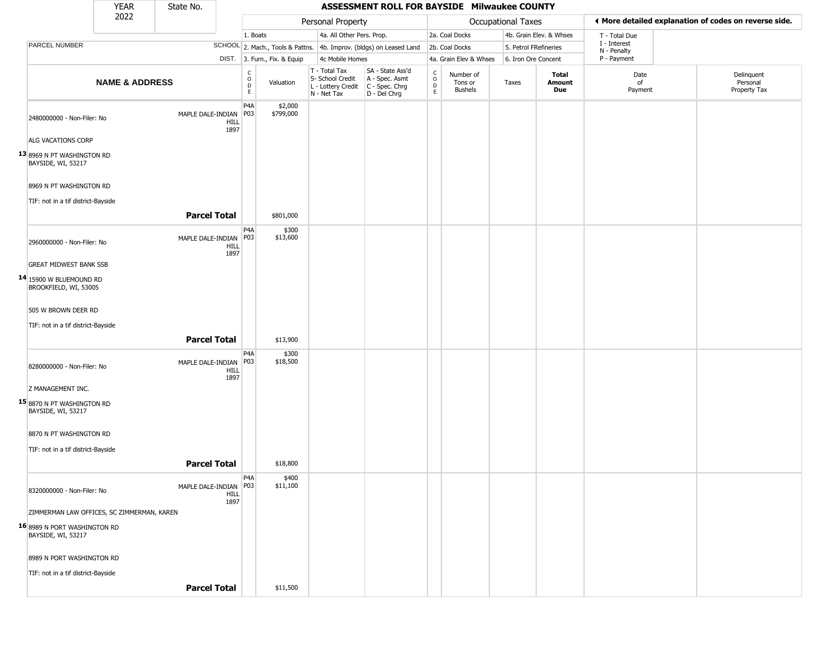|                                                    | <b>YEAR</b>               | State No.               |                     |                                        |                              |                                                                        | ASSESSMENT ROLL FOR BAYSIDE Milwaukee COUNTY                         |                                                          |                                        |                       |                         |                             |                                                       |
|----------------------------------------------------|---------------------------|-------------------------|---------------------|----------------------------------------|------------------------------|------------------------------------------------------------------------|----------------------------------------------------------------------|----------------------------------------------------------|----------------------------------------|-----------------------|-------------------------|-----------------------------|-------------------------------------------------------|
|                                                    | 2022                      |                         |                     |                                        |                              | Personal Property                                                      |                                                                      |                                                          |                                        | Occupational Taxes    |                         |                             | I More detailed explanation of codes on reverse side. |
|                                                    |                           |                         |                     | 1. Boats                               |                              | 4a. All Other Pers. Prop.                                              |                                                                      |                                                          | 2a. Coal Docks                         |                       | 4b. Grain Elev. & Whses | T - Total Due               |                                                       |
| PARCEL NUMBER                                      |                           |                         |                     |                                        |                              |                                                                        | SCHOOL 2. Mach., Tools & Pattns. 4b. Improv. (bldgs) on Leased Land  |                                                          | 2b. Coal Docks                         | 5. Petrol FRefineries |                         | I - Interest<br>N - Penalty |                                                       |
|                                                    |                           |                         |                     |                                        | DIST. 3. Furn., Fix. & Equip | 4c Mobile Homes                                                        |                                                                      |                                                          | 4a. Grain Elev & Whses                 | 6. Iron Ore Concent   |                         | P - Payment                 |                                                       |
|                                                    | <b>NAME &amp; ADDRESS</b> |                         |                     | $_{\rm o}^{\rm c}$<br>$\mathsf D$<br>E | Valuation                    | T - Total Tax<br>S- School Credit<br>L - Lottery Credit<br>N - Net Tax | SA - State Ass'd<br>A - Spec. Asmt<br>C - Spec. Chrg<br>D - Del Chrg | $\begin{smallmatrix} C \\ O \\ D \end{smallmatrix}$<br>E | Number of<br>Tons or<br><b>Bushels</b> | Taxes                 | Total<br>Amount<br>Due  | Date<br>of<br>Payment       | Delinquent<br>Personal<br>Property Tax                |
| 2480000000 - Non-Filer: No                         |                           | MAPLE DALE-INDIAN       | HILL<br>1897        | P <sub>4</sub> A<br>P03                | \$2,000<br>\$799,000         |                                                                        |                                                                      |                                                          |                                        |                       |                         |                             |                                                       |
| ALG VACATIONS CORP                                 |                           |                         |                     |                                        |                              |                                                                        |                                                                      |                                                          |                                        |                       |                         |                             |                                                       |
| 13 8969 N PT WASHINGTON RD<br>BAYSIDE, WI, 53217   |                           |                         |                     |                                        |                              |                                                                        |                                                                      |                                                          |                                        |                       |                         |                             |                                                       |
| 8969 N PT WASHINGTON RD                            |                           |                         |                     |                                        |                              |                                                                        |                                                                      |                                                          |                                        |                       |                         |                             |                                                       |
| TIF: not in a tif district-Bayside                 |                           |                         |                     |                                        |                              |                                                                        |                                                                      |                                                          |                                        |                       |                         |                             |                                                       |
|                                                    |                           | <b>Parcel Total</b>     |                     |                                        | \$801,000                    |                                                                        |                                                                      |                                                          |                                        |                       |                         |                             |                                                       |
|                                                    |                           |                         |                     | P <sub>4</sub> A                       | \$300                        |                                                                        |                                                                      |                                                          |                                        |                       |                         |                             |                                                       |
| 2960000000 - Non-Filer: No                         |                           | MAPLE DALE-INDIAN       | HILL<br>1897        | P03                                    | \$13,600                     |                                                                        |                                                                      |                                                          |                                        |                       |                         |                             |                                                       |
| <b>GREAT MIDWEST BANK SSB</b>                      |                           |                         |                     |                                        |                              |                                                                        |                                                                      |                                                          |                                        |                       |                         |                             |                                                       |
| 14 15900 W BLUEMOUND RD<br>BROOKFIELD, WI, 53005   |                           |                         |                     |                                        |                              |                                                                        |                                                                      |                                                          |                                        |                       |                         |                             |                                                       |
| 505 W BROWN DEER RD                                |                           |                         |                     |                                        |                              |                                                                        |                                                                      |                                                          |                                        |                       |                         |                             |                                                       |
| TIF: not in a tif district-Bayside                 |                           |                         |                     |                                        |                              |                                                                        |                                                                      |                                                          |                                        |                       |                         |                             |                                                       |
|                                                    |                           | <b>Parcel Total</b>     |                     |                                        | \$13,900                     |                                                                        |                                                                      |                                                          |                                        |                       |                         |                             |                                                       |
|                                                    |                           |                         |                     | P <sub>4</sub> A                       | \$300                        |                                                                        |                                                                      |                                                          |                                        |                       |                         |                             |                                                       |
| 8280000000 - Non-Filer: No                         |                           | MAPLE DALE-INDIAN       | <b>HILL</b><br>1897 | P03                                    | \$18,500                     |                                                                        |                                                                      |                                                          |                                        |                       |                         |                             |                                                       |
| Z MANAGEMENT INC.                                  |                           |                         |                     |                                        |                              |                                                                        |                                                                      |                                                          |                                        |                       |                         |                             |                                                       |
| 15 8870 N PT WASHINGTON RD<br>BAYSIDE, WI, 53217   |                           |                         |                     |                                        |                              |                                                                        |                                                                      |                                                          |                                        |                       |                         |                             |                                                       |
| 8870 N PT WASHINGTON RD                            |                           |                         |                     |                                        |                              |                                                                        |                                                                      |                                                          |                                        |                       |                         |                             |                                                       |
| TIF: not in a tif district-Bayside                 |                           |                         |                     |                                        |                              |                                                                        |                                                                      |                                                          |                                        |                       |                         |                             |                                                       |
|                                                    |                           | <b>Parcel Total</b>     |                     |                                        | \$18,800                     |                                                                        |                                                                      |                                                          |                                        |                       |                         |                             |                                                       |
|                                                    |                           |                         |                     | P <sub>4</sub> A                       | \$400                        |                                                                        |                                                                      |                                                          |                                        |                       |                         |                             |                                                       |
| 8320000000 - Non-Filer: No                         |                           | MAPLE DALE-INDIAN   P03 | <b>HILL</b><br>1897 |                                        | \$11,100                     |                                                                        |                                                                      |                                                          |                                        |                       |                         |                             |                                                       |
| ZIMMERMAN LAW OFFICES, SC ZIMMERMAN, KAREN         |                           |                         |                     |                                        |                              |                                                                        |                                                                      |                                                          |                                        |                       |                         |                             |                                                       |
| 16 8989 N PORT WASHINGTON RD<br>BAYSIDE, WI, 53217 |                           |                         |                     |                                        |                              |                                                                        |                                                                      |                                                          |                                        |                       |                         |                             |                                                       |
| 8989 N PORT WASHINGTON RD                          |                           |                         |                     |                                        |                              |                                                                        |                                                                      |                                                          |                                        |                       |                         |                             |                                                       |
| TIF: not in a tif district-Bayside                 |                           |                         |                     |                                        |                              |                                                                        |                                                                      |                                                          |                                        |                       |                         |                             |                                                       |
|                                                    |                           | <b>Parcel Total</b>     |                     |                                        | \$11,500                     |                                                                        |                                                                      |                                                          |                                        |                       |                         |                             |                                                       |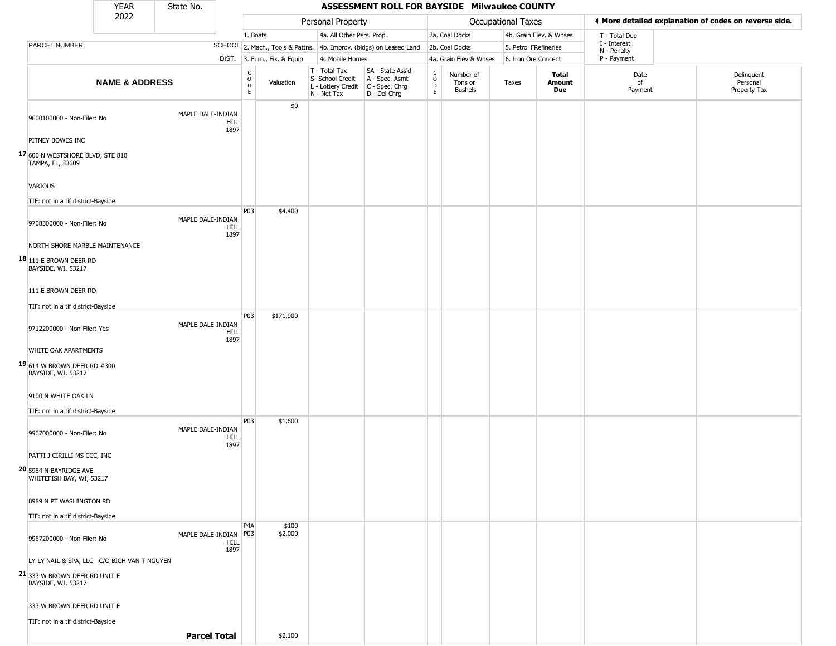|                                                           | YEAR                      | State No.           |                     |                                                |                              |                                                                                       | ASSESSMENT ROLL FOR BAYSIDE Milwaukee COUNTY                        |                      |                                        |                       |                               |                             |                                                       |
|-----------------------------------------------------------|---------------------------|---------------------|---------------------|------------------------------------------------|------------------------------|---------------------------------------------------------------------------------------|---------------------------------------------------------------------|----------------------|----------------------------------------|-----------------------|-------------------------------|-----------------------------|-------------------------------------------------------|
|                                                           | 2022                      |                     |                     |                                                |                              | Personal Property                                                                     |                                                                     |                      |                                        | Occupational Taxes    |                               |                             | ♦ More detailed explanation of codes on reverse side. |
|                                                           |                           |                     |                     | 1. Boats                                       |                              | 4a. All Other Pers. Prop.                                                             |                                                                     |                      | 2a. Coal Docks                         |                       | 4b. Grain Elev. & Whses       | T - Total Due               |                                                       |
| <b>PARCEL NUMBER</b>                                      |                           |                     |                     |                                                |                              |                                                                                       | SCHOOL 2. Mach., Tools & Pattns. 4b. Improv. (bldgs) on Leased Land |                      | 2b. Coal Docks                         | 5. Petrol FRefineries |                               | I - Interest<br>N - Penalty |                                                       |
|                                                           |                           |                     |                     |                                                | DIST. 3. Furn., Fix. & Equip | 4c Mobile Homes                                                                       |                                                                     |                      | 4a. Grain Elev & Whses                 | 6. Iron Ore Concent   |                               | P - Payment                 |                                                       |
|                                                           | <b>NAME &amp; ADDRESS</b> |                     |                     | $\begin{matrix} 0 \\ 0 \\ D \end{matrix}$<br>E | Valuation                    | T - Total Tax<br>S- School Credit<br>L - Lottery Credit C - Spec. Chrg<br>N - Net Tax | SA - State Ass'd<br>A - Spec. Asmt<br>D - Del Chrg                  | $\rm _o^c$<br>D<br>E | Number of<br>Tons or<br><b>Bushels</b> | Taxes                 | <b>Total</b><br>Amount<br>Due | Date<br>of<br>Payment       | Delinquent<br>Personal<br>Property Tax                |
| 9600100000 - Non-Filer: No                                |                           | MAPLE DALE-INDIAN   | <b>HILL</b><br>1897 |                                                | \$0                          |                                                                                       |                                                                     |                      |                                        |                       |                               |                             |                                                       |
| PITNEY BOWES INC                                          |                           |                     |                     |                                                |                              |                                                                                       |                                                                     |                      |                                        |                       |                               |                             |                                                       |
| 17 600 N WESTSHORE BLVD, STE 810<br>TAMPA, FL, 33609      |                           |                     |                     |                                                |                              |                                                                                       |                                                                     |                      |                                        |                       |                               |                             |                                                       |
| <b>VARIOUS</b>                                            |                           |                     |                     |                                                |                              |                                                                                       |                                                                     |                      |                                        |                       |                               |                             |                                                       |
| TIF: not in a tif district-Bayside                        |                           |                     |                     | P03                                            | \$4,400                      |                                                                                       |                                                                     |                      |                                        |                       |                               |                             |                                                       |
| 9708300000 - Non-Filer: No                                |                           | MAPLE DALE-INDIAN   | HILL<br>1897        |                                                |                              |                                                                                       |                                                                     |                      |                                        |                       |                               |                             |                                                       |
| NORTH SHORE MARBLE MAINTENANCE                            |                           |                     |                     |                                                |                              |                                                                                       |                                                                     |                      |                                        |                       |                               |                             |                                                       |
| $18$ <sub>111</sub> E BROWN DEER RD<br>BAYSIDE, WI, 53217 |                           |                     |                     |                                                |                              |                                                                                       |                                                                     |                      |                                        |                       |                               |                             |                                                       |
| 111 E BROWN DEER RD                                       |                           |                     |                     |                                                |                              |                                                                                       |                                                                     |                      |                                        |                       |                               |                             |                                                       |
| TIF: not in a tif district-Bayside                        |                           |                     |                     |                                                |                              |                                                                                       |                                                                     |                      |                                        |                       |                               |                             |                                                       |
| 9712200000 - Non-Filer: Yes                               |                           | MAPLE DALE-INDIAN   | <b>HILL</b><br>1897 | P <sub>03</sub>                                | \$171,900                    |                                                                                       |                                                                     |                      |                                        |                       |                               |                             |                                                       |
| WHITE OAK APARTMENTS                                      |                           |                     |                     |                                                |                              |                                                                                       |                                                                     |                      |                                        |                       |                               |                             |                                                       |
| <b>19</b> 614 W BROWN DEER RD #300<br>BAYSIDE, WI, 53217  |                           |                     |                     |                                                |                              |                                                                                       |                                                                     |                      |                                        |                       |                               |                             |                                                       |
| 9100 N WHITE OAK LN                                       |                           |                     |                     |                                                |                              |                                                                                       |                                                                     |                      |                                        |                       |                               |                             |                                                       |
| TIF: not in a tif district-Bayside                        |                           |                     |                     |                                                |                              |                                                                                       |                                                                     |                      |                                        |                       |                               |                             |                                                       |
| 9967000000 - Non-Filer: No                                |                           | MAPLE DALE-INDIAN   | <b>HILL</b><br>1897 | P <sub>03</sub>                                | \$1,600                      |                                                                                       |                                                                     |                      |                                        |                       |                               |                             |                                                       |
| PATTI J CIRILLI MS CCC, INC                               |                           |                     |                     |                                                |                              |                                                                                       |                                                                     |                      |                                        |                       |                               |                             |                                                       |
| 20 5964 N BAYRIDGE AVE<br>WHITEFISH BAY, WI, 53217        |                           |                     |                     |                                                |                              |                                                                                       |                                                                     |                      |                                        |                       |                               |                             |                                                       |
| 8989 N PT WASHINGTON RD                                   |                           |                     |                     |                                                |                              |                                                                                       |                                                                     |                      |                                        |                       |                               |                             |                                                       |
| TIF: not in a tif district-Bayside                        |                           |                     |                     |                                                |                              |                                                                                       |                                                                     |                      |                                        |                       |                               |                             |                                                       |
| 9967200000 - Non-Filer: No                                |                           | MAPLE DALE-INDIAN   | HILL<br>1897        | P <sub>4</sub> A<br>P03                        | \$100<br>\$2,000             |                                                                                       |                                                                     |                      |                                        |                       |                               |                             |                                                       |
| LY-LY NAIL & SPA, LLC C/O BICH VAN T NGUYEN               |                           |                     |                     |                                                |                              |                                                                                       |                                                                     |                      |                                        |                       |                               |                             |                                                       |
| 21 333 W BROWN DEER RD UNIT F<br>BAYSIDE, WI, 53217       |                           |                     |                     |                                                |                              |                                                                                       |                                                                     |                      |                                        |                       |                               |                             |                                                       |
| 333 W BROWN DEER RD UNIT F                                |                           |                     |                     |                                                |                              |                                                                                       |                                                                     |                      |                                        |                       |                               |                             |                                                       |
| TIF: not in a tif district-Bayside                        |                           |                     |                     |                                                |                              |                                                                                       |                                                                     |                      |                                        |                       |                               |                             |                                                       |
|                                                           |                           | <b>Parcel Total</b> |                     |                                                | \$2,100                      |                                                                                       |                                                                     |                      |                                        |                       |                               |                             |                                                       |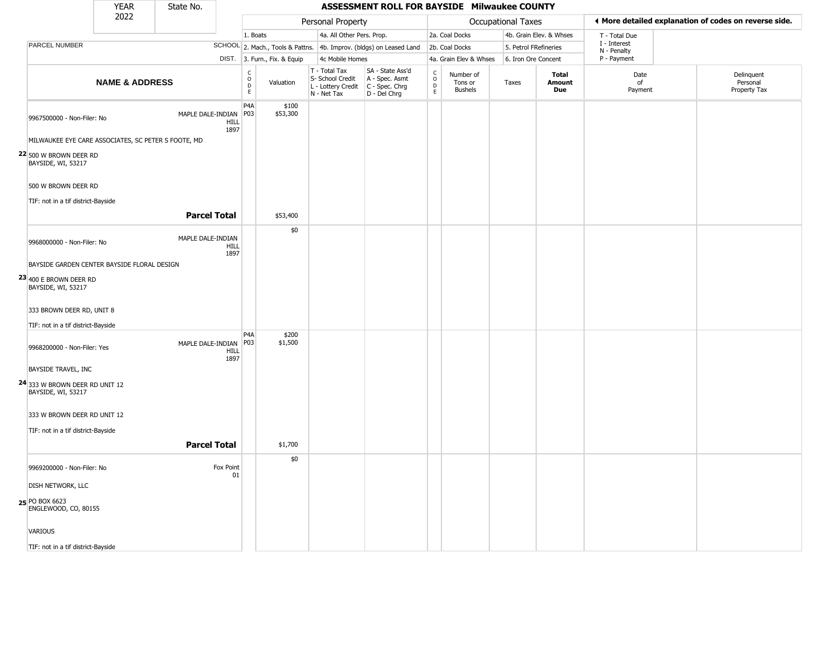|                                                        | <b>YEAR</b>                                 | State No.           |                 |                                                 |                                  |                                                                                         | ASSESSMENT ROLL FOR BAYSIDE Milwaukee COUNTY       |                        |                                        |                    |                               |                             |                                                       |
|--------------------------------------------------------|---------------------------------------------|---------------------|-----------------|-------------------------------------------------|----------------------------------|-----------------------------------------------------------------------------------------|----------------------------------------------------|------------------------|----------------------------------------|--------------------|-------------------------------|-----------------------------|-------------------------------------------------------|
|                                                        | 2022                                        |                     |                 |                                                 |                                  | Personal Property                                                                       |                                                    |                        |                                        | Occupational Taxes |                               |                             | ← More detailed explanation of codes on reverse side. |
|                                                        |                                             |                     |                 | 1. Boats                                        |                                  | 4a. All Other Pers. Prop.                                                               |                                                    |                        | 2a. Coal Docks                         |                    | 4b. Grain Elev. & Whses       | T - Total Due               |                                                       |
| PARCEL NUMBER                                          |                                             |                     |                 |                                                 | SCHOOL 2. Mach., Tools & Pattns. |                                                                                         | 4b. Improv. (bldgs) on Leased Land                 |                        | 2b. Coal Docks                         |                    | 5. Petrol FRefineries         | I - Interest<br>N - Penalty |                                                       |
|                                                        |                                             |                     |                 |                                                 | DIST. 3. Furn., Fix. & Equip     | 4c Mobile Homes                                                                         |                                                    |                        | 4a. Grain Elev & Whses                 |                    | 6. Iron Ore Concent           | P - Payment                 |                                                       |
|                                                        | <b>NAME &amp; ADDRESS</b>                   |                     |                 | $\begin{array}{c} C \\ O \\ D \\ E \end{array}$ | Valuation                        | T - Total Tax<br>S- School Credit<br>L - Lottery Credit   C - Spec. Chrg<br>N - Net Tax | SA - State Ass'd<br>A - Spec. Asmt<br>D - Del Chrg | C<br>$\circ$<br>D<br>E | Number of<br>Tons or<br><b>Bushels</b> | Taxes              | <b>Total</b><br>Amount<br>Due | Date<br>of<br>Payment       | Delinquent<br>Personal<br>Property Tax                |
| 9967500000 - Non-Filer: No                             |                                             | MAPLE DALE-INDIAN   | HILL<br>1897    | P <sub>4</sub> A<br>P03                         | \$100<br>\$53,300                |                                                                                         |                                                    |                        |                                        |                    |                               |                             |                                                       |
| MILWAUKEE EYE CARE ASSOCIATES, SC PETER S FOOTE, MD    |                                             |                     |                 |                                                 |                                  |                                                                                         |                                                    |                        |                                        |                    |                               |                             |                                                       |
| $22$ 500 W brown deer RD<br>BAYSIDE, WI, 53217         |                                             |                     |                 |                                                 |                                  |                                                                                         |                                                    |                        |                                        |                    |                               |                             |                                                       |
| 500 W BROWN DEER RD                                    |                                             |                     |                 |                                                 |                                  |                                                                                         |                                                    |                        |                                        |                    |                               |                             |                                                       |
| TIF: not in a tif district-Bayside                     |                                             |                     |                 |                                                 |                                  |                                                                                         |                                                    |                        |                                        |                    |                               |                             |                                                       |
|                                                        |                                             | <b>Parcel Total</b> |                 |                                                 | \$53,400                         |                                                                                         |                                                    |                        |                                        |                    |                               |                             |                                                       |
| 9968000000 - Non-Filer: No                             |                                             | MAPLE DALE-INDIAN   | HILL<br>1897    |                                                 | \$0                              |                                                                                         |                                                    |                        |                                        |                    |                               |                             |                                                       |
|                                                        | BAYSIDE GARDEN CENTER BAYSIDE FLORAL DESIGN |                     |                 |                                                 |                                  |                                                                                         |                                                    |                        |                                        |                    |                               |                             |                                                       |
| $23$ 400 E BROWN DEER RD<br>BAYSIDE, WI, 53217         |                                             |                     |                 |                                                 |                                  |                                                                                         |                                                    |                        |                                        |                    |                               |                             |                                                       |
| 333 BROWN DEER RD, UNIT 8                              |                                             |                     |                 |                                                 |                                  |                                                                                         |                                                    |                        |                                        |                    |                               |                             |                                                       |
| TIF: not in a tif district-Bayside                     |                                             |                     |                 |                                                 |                                  |                                                                                         |                                                    |                        |                                        |                    |                               |                             |                                                       |
| 9968200000 - Non-Filer: Yes                            |                                             | MAPLE DALE-INDIAN   | HILL<br>1897    | P <sub>4</sub> A<br>P03                         | \$200<br>\$1,500                 |                                                                                         |                                                    |                        |                                        |                    |                               |                             |                                                       |
| <b>BAYSIDE TRAVEL, INC</b>                             |                                             |                     |                 |                                                 |                                  |                                                                                         |                                                    |                        |                                        |                    |                               |                             |                                                       |
| $24$ 333 W BROWN DEER RD UNIT 12<br>BAYSIDE, WI, 53217 |                                             |                     |                 |                                                 |                                  |                                                                                         |                                                    |                        |                                        |                    |                               |                             |                                                       |
| 333 W BROWN DEER RD UNIT 12                            |                                             |                     |                 |                                                 |                                  |                                                                                         |                                                    |                        |                                        |                    |                               |                             |                                                       |
| TIF: not in a tif district-Bayside                     |                                             |                     |                 |                                                 |                                  |                                                                                         |                                                    |                        |                                        |                    |                               |                             |                                                       |
|                                                        |                                             | <b>Parcel Total</b> |                 |                                                 | \$1,700                          |                                                                                         |                                                    |                        |                                        |                    |                               |                             |                                                       |
| 9969200000 - Non-Filer: No                             |                                             |                     | Fox Point<br>01 |                                                 | \$0                              |                                                                                         |                                                    |                        |                                        |                    |                               |                             |                                                       |
| <b>DISH NETWORK, LLC</b>                               |                                             |                     |                 |                                                 |                                  |                                                                                         |                                                    |                        |                                        |                    |                               |                             |                                                       |
| 25 PO BOX 6623<br>ENGLEWOOD, CO, 80155                 |                                             |                     |                 |                                                 |                                  |                                                                                         |                                                    |                        |                                        |                    |                               |                             |                                                       |
| VARIOUS                                                |                                             |                     |                 |                                                 |                                  |                                                                                         |                                                    |                        |                                        |                    |                               |                             |                                                       |
| TIF: not in a tif district-Bayside                     |                                             |                     |                 |                                                 |                                  |                                                                                         |                                                    |                        |                                        |                    |                               |                             |                                                       |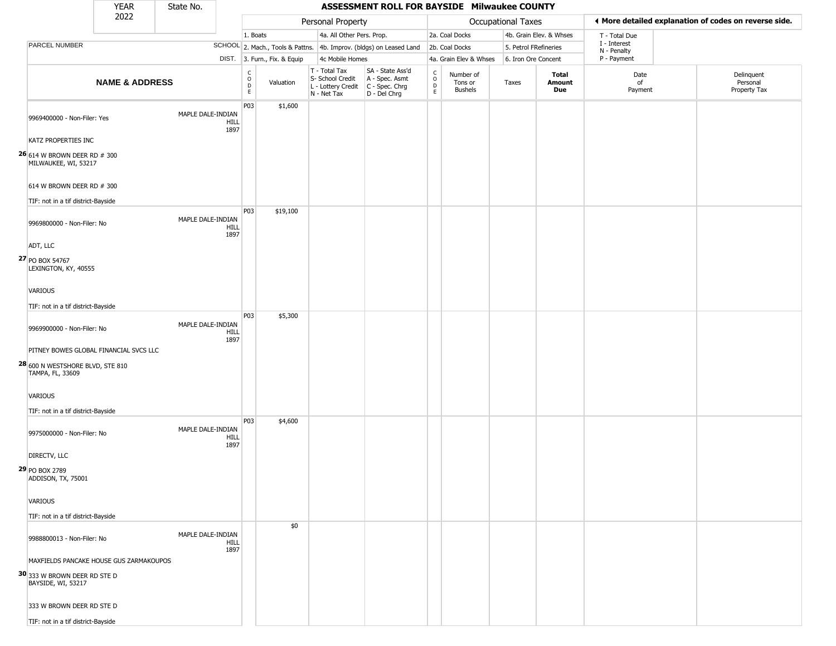|                                                                                          | <b>YEAR</b>                             | State No.         |                     |                                              |                              |                                                  | ASSESSMENT ROLL FOR BAYSIDE Milwaukee COUNTY                                              |                        |                                        |                       |                         |                             |                                                       |
|------------------------------------------------------------------------------------------|-----------------------------------------|-------------------|---------------------|----------------------------------------------|------------------------------|--------------------------------------------------|-------------------------------------------------------------------------------------------|------------------------|----------------------------------------|-----------------------|-------------------------|-----------------------------|-------------------------------------------------------|
|                                                                                          | 2022                                    |                   |                     |                                              |                              | Personal Property                                |                                                                                           |                        |                                        | Occupational Taxes    |                         |                             | ◀ More detailed explanation of codes on reverse side. |
|                                                                                          |                                         |                   |                     | 1. Boats                                     |                              | 4a. All Other Pers. Prop.                        |                                                                                           |                        | 2a. Coal Docks                         |                       | 4b. Grain Elev. & Whses | T - Total Due               |                                                       |
| PARCEL NUMBER                                                                            |                                         |                   |                     |                                              |                              |                                                  | SCHOOL 2. Mach., Tools & Pattns. 4b. Improv. (bldgs) on Leased Land                       |                        | 2b. Coal Docks                         | 5. Petrol FRefineries |                         | I - Interest<br>N - Penalty |                                                       |
|                                                                                          |                                         |                   |                     |                                              | DIST. 3. Furn., Fix. & Equip | 4c Mobile Homes                                  |                                                                                           |                        | 4a. Grain Elev & Whses                 | 6. Iron Ore Concent   |                         | P - Payment                 |                                                       |
|                                                                                          | <b>NAME &amp; ADDRESS</b>               |                   |                     | $\begin{array}{c}\nC \\ O \\ D\n\end{array}$ | Valuation                    | T - Total Tax<br>S- School Credit<br>N - Net Tax | SA - State Ass'd<br>A - Spec. Asmt<br>L - Lottery Credit   C - Spec. Chrg<br>D - Del Chrg | c<br>$\circ$<br>D<br>E | Number of<br>Tons or<br><b>Bushels</b> | Taxes                 | Total<br>Amount<br>Due  | Date<br>of<br>Payment       | Delinquent<br>Personal<br>Property Tax                |
| 9969400000 - Non-Filer: Yes                                                              |                                         | MAPLE DALE-INDIAN | <b>HILL</b><br>1897 | P03                                          | \$1,600                      |                                                  |                                                                                           |                        |                                        |                       |                         |                             |                                                       |
| KATZ PROPERTIES INC<br>$26$ <sub>614</sub> W BROWN DEER RD # 300<br>MILWAUKEE, WI, 53217 |                                         |                   |                     |                                              |                              |                                                  |                                                                                           |                        |                                        |                       |                         |                             |                                                       |
| 614 W BROWN DEER RD # 300                                                                |                                         |                   |                     |                                              |                              |                                                  |                                                                                           |                        |                                        |                       |                         |                             |                                                       |
| TIF: not in a tif district-Bayside                                                       |                                         |                   |                     |                                              |                              |                                                  |                                                                                           |                        |                                        |                       |                         |                             |                                                       |
| 9969800000 - Non-Filer: No                                                               |                                         | MAPLE DALE-INDIAN | HILL<br>1897        | P <sub>0</sub> 3                             | \$19,100                     |                                                  |                                                                                           |                        |                                        |                       |                         |                             |                                                       |
| ADT, LLC<br>27 PO BOX 54767<br>LEXINGTON, KY, 40555                                      |                                         |                   |                     |                                              |                              |                                                  |                                                                                           |                        |                                        |                       |                         |                             |                                                       |
| VARIOUS                                                                                  |                                         |                   |                     |                                              |                              |                                                  |                                                                                           |                        |                                        |                       |                         |                             |                                                       |
| TIF: not in a tif district-Bayside                                                       |                                         |                   |                     | P03                                          | \$5,300                      |                                                  |                                                                                           |                        |                                        |                       |                         |                             |                                                       |
| 9969900000 - Non-Filer: No                                                               |                                         | MAPLE DALE-INDIAN | HILL<br>1897        |                                              |                              |                                                  |                                                                                           |                        |                                        |                       |                         |                             |                                                       |
| 28 600 N WESTSHORE BLVD, STE 810<br>TAMPA, FL, 33609                                     | PITNEY BOWES GLOBAL FINANCIAL SVCS LLC  |                   |                     |                                              |                              |                                                  |                                                                                           |                        |                                        |                       |                         |                             |                                                       |
| VARIOUS<br>TIF: not in a tif district-Bayside                                            |                                         |                   |                     |                                              |                              |                                                  |                                                                                           |                        |                                        |                       |                         |                             |                                                       |
| 9975000000 - Non-Filer: No                                                               |                                         | MAPLE DALE-INDIAN | HILL                | <b>P03</b>                                   | \$4,600                      |                                                  |                                                                                           |                        |                                        |                       |                         |                             |                                                       |
| DIRECTV, LLC                                                                             |                                         |                   | 1897                |                                              |                              |                                                  |                                                                                           |                        |                                        |                       |                         |                             |                                                       |
| 29 PO BOX 2789<br>ADDISON, TX, 75001                                                     |                                         |                   |                     |                                              |                              |                                                  |                                                                                           |                        |                                        |                       |                         |                             |                                                       |
| VARIOUS                                                                                  |                                         |                   |                     |                                              |                              |                                                  |                                                                                           |                        |                                        |                       |                         |                             |                                                       |
| TIF: not in a tif district-Bayside                                                       |                                         |                   |                     |                                              | \$0                          |                                                  |                                                                                           |                        |                                        |                       |                         |                             |                                                       |
| 9988800013 - Non-Filer: No                                                               |                                         | MAPLE DALE-INDIAN | HILL<br>1897        |                                              |                              |                                                  |                                                                                           |                        |                                        |                       |                         |                             |                                                       |
|                                                                                          | MAXFIELDS PANCAKE HOUSE GUS ZARMAKOUPOS |                   |                     |                                              |                              |                                                  |                                                                                           |                        |                                        |                       |                         |                             |                                                       |
| 30 333 W BROWN DEER RD STE D<br>BAYSIDE, WI, 53217                                       |                                         |                   |                     |                                              |                              |                                                  |                                                                                           |                        |                                        |                       |                         |                             |                                                       |
| 333 W BROWN DEER RD STE D                                                                |                                         |                   |                     |                                              |                              |                                                  |                                                                                           |                        |                                        |                       |                         |                             |                                                       |
| TIF: not in a tif district-Bayside                                                       |                                         |                   |                     |                                              |                              |                                                  |                                                                                           |                        |                                        |                       |                         |                             |                                                       |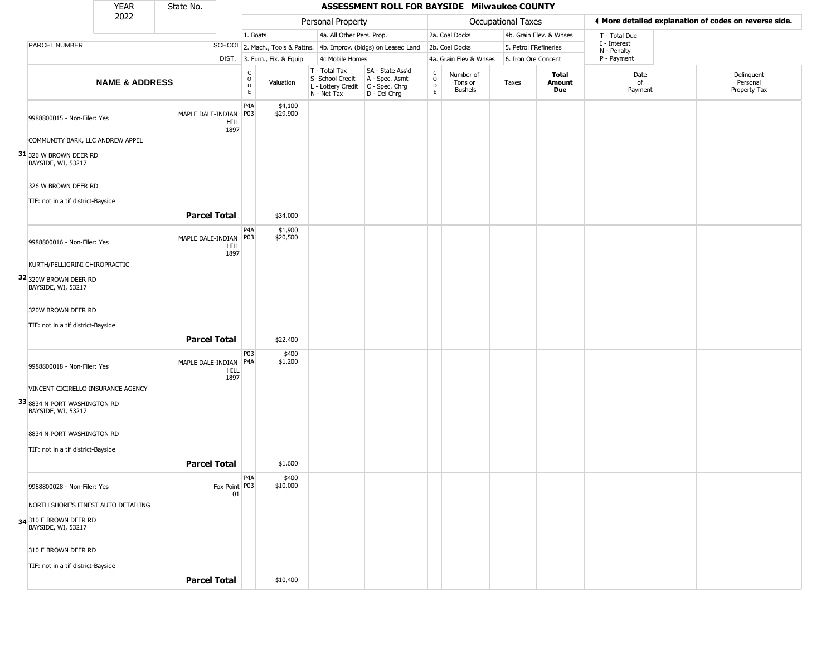|                                                    | <b>YEAR</b>                         | State No.                                |                                                |                              |                                                                                       | ASSESSMENT ROLL FOR BAYSIDE Milwaukee COUNTY                        |                                                 |                                        |                    |                         |                             |                                                       |
|----------------------------------------------------|-------------------------------------|------------------------------------------|------------------------------------------------|------------------------------|---------------------------------------------------------------------------------------|---------------------------------------------------------------------|-------------------------------------------------|----------------------------------------|--------------------|-------------------------|-----------------------------|-------------------------------------------------------|
|                                                    | 2022                                |                                          |                                                |                              | Personal Property                                                                     |                                                                     |                                                 |                                        | Occupational Taxes |                         |                             | ◀ More detailed explanation of codes on reverse side. |
|                                                    |                                     |                                          | 1. Boats                                       |                              | 4a. All Other Pers. Prop.                                                             |                                                                     |                                                 | 2a. Coal Docks                         |                    | 4b. Grain Elev. & Whses | T - Total Due               |                                                       |
| PARCEL NUMBER                                      |                                     |                                          |                                                |                              |                                                                                       | SCHOOL 2. Mach., Tools & Pattns. 4b. Improv. (bldgs) on Leased Land |                                                 | 2b. Coal Docks                         |                    | 5. Petrol FRefineries   | I - Interest<br>N - Penalty |                                                       |
|                                                    |                                     |                                          |                                                | DIST. 3. Furn., Fix. & Equip | 4c Mobile Homes                                                                       |                                                                     |                                                 | 4a. Grain Elev & Whses                 |                    | 6. Iron Ore Concent     | P - Payment                 |                                                       |
|                                                    | <b>NAME &amp; ADDRESS</b>           |                                          | $\begin{matrix} 0 \\ 0 \\ D \end{matrix}$<br>E | Valuation                    | T - Total Tax<br>S- School Credit<br>L - Lottery Credit C - Spec. Chrg<br>N - Net Tax | SA - State Ass'd<br>A - Spec. Asmt<br>D - Del Chrg                  | $\begin{array}{c} C \\ O \\ D \\ E \end{array}$ | Number of<br>Tons or<br><b>Bushels</b> | Taxes              | Total<br>Amount<br>Due  | Date<br>of<br>Payment       | Delinquent<br>Personal<br>Property Tax                |
| 9988800015 - Non-Filer: Yes                        |                                     | MAPLE DALE-INDIAN<br>HILL<br>1897        | P <sub>4</sub> A<br>P03                        | \$4,100<br>\$29,900          |                                                                                       |                                                                     |                                                 |                                        |                    |                         |                             |                                                       |
|                                                    | COMMUNITY BARK, LLC ANDREW APPEL    |                                          |                                                |                              |                                                                                       |                                                                     |                                                 |                                        |                    |                         |                             |                                                       |
| 31 326 W BROWN DEER RD<br>BAYSIDE, WI, 53217       |                                     |                                          |                                                |                              |                                                                                       |                                                                     |                                                 |                                        |                    |                         |                             |                                                       |
| 326 W BROWN DEER RD                                |                                     |                                          |                                                |                              |                                                                                       |                                                                     |                                                 |                                        |                    |                         |                             |                                                       |
| TIF: not in a tif district-Bayside                 |                                     |                                          |                                                |                              |                                                                                       |                                                                     |                                                 |                                        |                    |                         |                             |                                                       |
|                                                    |                                     | <b>Parcel Total</b>                      |                                                | \$34,000                     |                                                                                       |                                                                     |                                                 |                                        |                    |                         |                             |                                                       |
| 9988800016 - Non-Filer: Yes                        |                                     | MAPLE DALE-INDIAN<br>HILL<br>1897        | P4A<br>P03                                     | \$1,900<br>\$20,500          |                                                                                       |                                                                     |                                                 |                                        |                    |                         |                             |                                                       |
|                                                    | KURTH/PELLIGRINI CHIROPRACTIC       |                                          |                                                |                              |                                                                                       |                                                                     |                                                 |                                        |                    |                         |                             |                                                       |
| 32 320W BROWN DEER RD<br>BAYSIDE, WI, 53217        |                                     |                                          |                                                |                              |                                                                                       |                                                                     |                                                 |                                        |                    |                         |                             |                                                       |
| 320W BROWN DEER RD                                 |                                     |                                          |                                                |                              |                                                                                       |                                                                     |                                                 |                                        |                    |                         |                             |                                                       |
| TIF: not in a tif district-Bayside                 |                                     |                                          |                                                |                              |                                                                                       |                                                                     |                                                 |                                        |                    |                         |                             |                                                       |
|                                                    |                                     | <b>Parcel Total</b>                      |                                                | \$22,400                     |                                                                                       |                                                                     |                                                 |                                        |                    |                         |                             |                                                       |
| 9988800018 - Non-Filer: Yes                        |                                     | MAPLE DALE-INDIAN<br><b>HILL</b><br>1897 | P03<br>P <sub>4</sub> A                        | \$400<br>\$1,200             |                                                                                       |                                                                     |                                                 |                                        |                    |                         |                             |                                                       |
|                                                    | VINCENT CICIRELLO INSURANCE AGENCY  |                                          |                                                |                              |                                                                                       |                                                                     |                                                 |                                        |                    |                         |                             |                                                       |
| 33 8834 N PORT WASHINGTON RD<br>BAYSIDE, WI, 53217 |                                     |                                          |                                                |                              |                                                                                       |                                                                     |                                                 |                                        |                    |                         |                             |                                                       |
| 8834 N PORT WASHINGTON RD                          |                                     |                                          |                                                |                              |                                                                                       |                                                                     |                                                 |                                        |                    |                         |                             |                                                       |
| TIF: not in a tif district-Bayside                 |                                     |                                          |                                                |                              |                                                                                       |                                                                     |                                                 |                                        |                    |                         |                             |                                                       |
|                                                    |                                     | <b>Parcel Total</b>                      |                                                | \$1,600                      |                                                                                       |                                                                     |                                                 |                                        |                    |                         |                             |                                                       |
| 9988800028 - Non-Filer: Yes                        |                                     | Fox Point P03                            | P <sub>4</sub> A<br>01                         | \$400<br>\$10,000            |                                                                                       |                                                                     |                                                 |                                        |                    |                         |                             |                                                       |
|                                                    | NORTH SHORE'S FINEST AUTO DETAILING |                                          |                                                |                              |                                                                                       |                                                                     |                                                 |                                        |                    |                         |                             |                                                       |
| 34 310 E BROWN DEER RD<br>BAYSIDE, WI, 53217       |                                     |                                          |                                                |                              |                                                                                       |                                                                     |                                                 |                                        |                    |                         |                             |                                                       |
| 310 E BROWN DEER RD                                |                                     |                                          |                                                |                              |                                                                                       |                                                                     |                                                 |                                        |                    |                         |                             |                                                       |
| TIF: not in a tif district-Bayside                 |                                     |                                          |                                                |                              |                                                                                       |                                                                     |                                                 |                                        |                    |                         |                             |                                                       |
|                                                    |                                     | <b>Parcel Total</b>                      |                                                | \$10,400                     |                                                                                       |                                                                     |                                                 |                                        |                    |                         |                             |                                                       |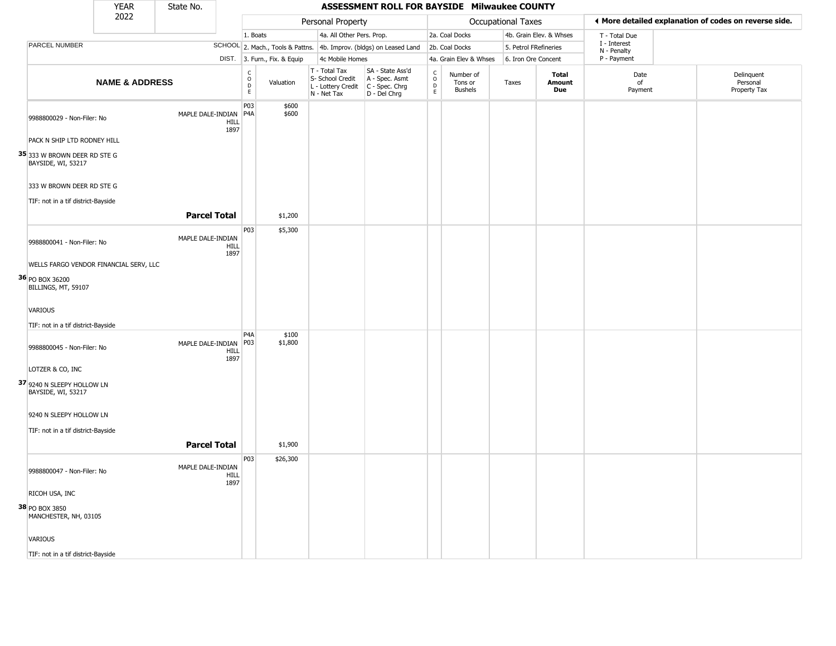|                                                      | <b>YEAR</b>               | State No.           |              |                         |                              |                                                                        | ASSESSMENT ROLL FOR BAYSIDE Milwaukee COUNTY                         |                                |                                        |                    |                               |                             |                                                       |
|------------------------------------------------------|---------------------------|---------------------|--------------|-------------------------|------------------------------|------------------------------------------------------------------------|----------------------------------------------------------------------|--------------------------------|----------------------------------------|--------------------|-------------------------------|-----------------------------|-------------------------------------------------------|
|                                                      | 2022                      |                     |              |                         |                              | Personal Property                                                      |                                                                      |                                |                                        | Occupational Taxes |                               |                             | ♦ More detailed explanation of codes on reverse side. |
|                                                      |                           |                     |              | 1. Boats                |                              | 4a. All Other Pers. Prop.                                              |                                                                      |                                | 2a. Coal Docks                         |                    | 4b. Grain Elev. & Whses       | T - Total Due               |                                                       |
| <b>PARCEL NUMBER</b>                                 |                           |                     |              |                         |                              |                                                                        | SCHOOL 2. Mach., Tools & Pattns. 4b. Improv. (bldgs) on Leased Land  |                                | 2b. Coal Docks                         |                    | 5. Petrol FRefineries         | I - Interest<br>N - Penalty |                                                       |
|                                                      |                           |                     |              |                         | DIST. 3. Furn., Fix. & Equip | 4c Mobile Homes                                                        |                                                                      |                                | 4a. Grain Elev & Whses                 |                    | 6. Iron Ore Concent           | P - Payment                 |                                                       |
|                                                      | <b>NAME &amp; ADDRESS</b> |                     |              | C<br>D<br>E<br>E        | Valuation                    | T - Total Tax<br>S- School Credit<br>L - Lottery Credit<br>N - Net Tax | SA - State Ass'd<br>A - Spec. Asmt<br>C - Spec. Chrg<br>D - Del Chrg | $\rm _o^C$<br>$\mathsf D$<br>E | Number of<br>Tons or<br><b>Bushels</b> | Taxes              | <b>Total</b><br>Amount<br>Due | Date<br>of<br>Payment       | Delinquent<br>Personal<br>Property Tax                |
| 9988800029 - Non-Filer: No                           |                           | MAPLE DALE-INDIAN   | HILL<br>1897 | P03<br>P <sub>4</sub> A | \$600<br>\$600               |                                                                        |                                                                      |                                |                                        |                    |                               |                             |                                                       |
| PACK N SHIP LTD RODNEY HILL                          |                           |                     |              |                         |                              |                                                                        |                                                                      |                                |                                        |                    |                               |                             |                                                       |
| $35$ 333 W brown deer RD ste G<br>BAYSIDE, WI, 53217 |                           |                     |              |                         |                              |                                                                        |                                                                      |                                |                                        |                    |                               |                             |                                                       |
| 333 W BROWN DEER RD STE G                            |                           |                     |              |                         |                              |                                                                        |                                                                      |                                |                                        |                    |                               |                             |                                                       |
| TIF: not in a tif district-Bayside                   |                           |                     |              |                         |                              |                                                                        |                                                                      |                                |                                        |                    |                               |                             |                                                       |
|                                                      |                           | <b>Parcel Total</b> |              |                         | \$1,200                      |                                                                        |                                                                      |                                |                                        |                    |                               |                             |                                                       |
| 9988800041 - Non-Filer: No                           |                           | MAPLE DALE-INDIAN   | HILL         | P03                     | \$5,300                      |                                                                        |                                                                      |                                |                                        |                    |                               |                             |                                                       |
| WELLS FARGO VENDOR FINANCIAL SERV, LLC               |                           |                     | 1897         |                         |                              |                                                                        |                                                                      |                                |                                        |                    |                               |                             |                                                       |
| 36 PO BOX 36200<br>BILLINGS, MT, 59107               |                           |                     |              |                         |                              |                                                                        |                                                                      |                                |                                        |                    |                               |                             |                                                       |
| VARIOUS                                              |                           |                     |              |                         |                              |                                                                        |                                                                      |                                |                                        |                    |                               |                             |                                                       |
| TIF: not in a tif district-Bayside                   |                           |                     |              |                         |                              |                                                                        |                                                                      |                                |                                        |                    |                               |                             |                                                       |
| 9988800045 - Non-Filer: No                           |                           | MAPLE DALE-INDIAN   | HILL<br>1897 | P <sub>4</sub> A<br>P03 | \$100<br>\$1,800             |                                                                        |                                                                      |                                |                                        |                    |                               |                             |                                                       |
| LOTZER & CO, INC                                     |                           |                     |              |                         |                              |                                                                        |                                                                      |                                |                                        |                    |                               |                             |                                                       |
| 37 9240 N SLEEPY HOLLOW LN<br>BAYSIDE, WI, 53217     |                           |                     |              |                         |                              |                                                                        |                                                                      |                                |                                        |                    |                               |                             |                                                       |
| 9240 N SLEEPY HOLLOW LN                              |                           |                     |              |                         |                              |                                                                        |                                                                      |                                |                                        |                    |                               |                             |                                                       |
| TIF: not in a tif district-Bayside                   |                           |                     |              |                         |                              |                                                                        |                                                                      |                                |                                        |                    |                               |                             |                                                       |
|                                                      |                           | <b>Parcel Total</b> |              |                         | \$1,900                      |                                                                        |                                                                      |                                |                                        |                    |                               |                             |                                                       |
| 9988800047 - Non-Filer: No                           |                           | MAPLE DALE-INDIAN   | HILL         | P03                     | \$26,300                     |                                                                        |                                                                      |                                |                                        |                    |                               |                             |                                                       |
| RICOH USA, INC                                       |                           |                     | 1897         |                         |                              |                                                                        |                                                                      |                                |                                        |                    |                               |                             |                                                       |
| 38 PO BOX 3850<br>MANCHESTER, NH, 03105              |                           |                     |              |                         |                              |                                                                        |                                                                      |                                |                                        |                    |                               |                             |                                                       |
| <b>VARIOUS</b>                                       |                           |                     |              |                         |                              |                                                                        |                                                                      |                                |                                        |                    |                               |                             |                                                       |
| TIF: not in a tif district-Bayside                   |                           |                     |              |                         |                              |                                                                        |                                                                      |                                |                                        |                    |                               |                             |                                                       |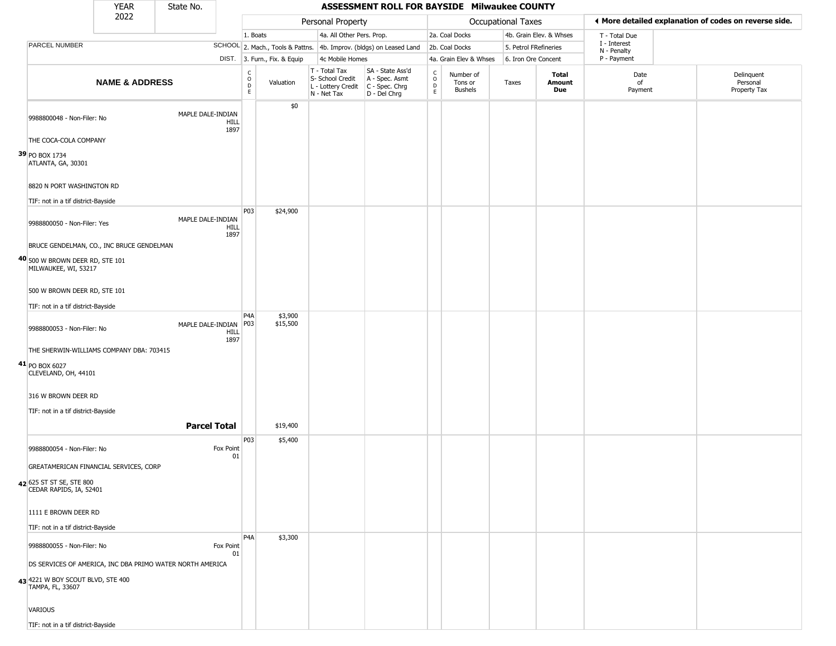|                                          | <b>YEAR</b>                                               | State No.           |                 |                                                          |                              |                                                                                         | ASSESSMENT ROLL FOR BAYSIDE Milwaukee COUNTY                        |                                                |                                        |                           |                         |                             |                                                       |
|------------------------------------------|-----------------------------------------------------------|---------------------|-----------------|----------------------------------------------------------|------------------------------|-----------------------------------------------------------------------------------------|---------------------------------------------------------------------|------------------------------------------------|----------------------------------------|---------------------------|-------------------------|-----------------------------|-------------------------------------------------------|
|                                          | 2022                                                      |                     |                 |                                                          |                              | Personal Property                                                                       |                                                                     |                                                |                                        | <b>Occupational Taxes</b> |                         |                             | ♦ More detailed explanation of codes on reverse side. |
|                                          |                                                           |                     |                 | 1. Boats                                                 |                              | 4a. All Other Pers. Prop.                                                               |                                                                     |                                                | 2a. Coal Docks                         |                           | 4b. Grain Elev. & Whses | T - Total Due               |                                                       |
| PARCEL NUMBER                            |                                                           |                     |                 |                                                          |                              |                                                                                         | SCHOOL 2. Mach., Tools & Pattns. 4b. Improv. (bldgs) on Leased Land |                                                | 2b. Coal Docks                         | 5. Petrol FRefineries     |                         | I - Interest<br>N - Penalty |                                                       |
|                                          |                                                           |                     |                 |                                                          | DIST. 3. Furn., Fix. & Equip | 4c Mobile Homes                                                                         |                                                                     |                                                | 4a. Grain Elev & Whses                 | 6. Iron Ore Concent       |                         | P - Payment                 |                                                       |
|                                          | <b>NAME &amp; ADDRESS</b>                                 |                     |                 | $\begin{matrix} 0 \\ 0 \\ D \end{matrix}$<br>$\mathsf E$ | Valuation                    | T - Total Tax<br>S- School Credit<br>L - Lottery Credit   C - Spec. Chrg<br>N - Net Tax | SA - State Ass'd<br>A - Spec. Asmt<br>D - Del Chrg                  | $\begin{matrix} 0 \\ 0 \\ D \end{matrix}$<br>E | Number of<br>Tons or<br><b>Bushels</b> | Taxes                     | Total<br>Amount<br>Due  | Date<br>of<br>Payment       | Delinquent<br>Personal<br>Property Tax                |
|                                          | 9988800048 - Non-Filer: No                                | MAPLE DALE-INDIAN   | HILL<br>1897    |                                                          | \$0                          |                                                                                         |                                                                     |                                                |                                        |                           |                         |                             |                                                       |
|                                          | THE COCA-COLA COMPANY                                     |                     |                 |                                                          |                              |                                                                                         |                                                                     |                                                |                                        |                           |                         |                             |                                                       |
| 39 PO BOX 1734<br>ATLANTA, GA, 30301     |                                                           |                     |                 |                                                          |                              |                                                                                         |                                                                     |                                                |                                        |                           |                         |                             |                                                       |
|                                          | 8820 N PORT WASHINGTON RD                                 |                     |                 |                                                          |                              |                                                                                         |                                                                     |                                                |                                        |                           |                         |                             |                                                       |
|                                          | TIF: not in a tif district-Bayside                        |                     |                 |                                                          |                              |                                                                                         |                                                                     |                                                |                                        |                           |                         |                             |                                                       |
|                                          | 9988800050 - Non-Filer: Yes                               | MAPLE DALE-INDIAN   | HILL<br>1897    | P03                                                      | \$24,900                     |                                                                                         |                                                                     |                                                |                                        |                           |                         |                             |                                                       |
|                                          | BRUCE GENDELMAN, CO., INC BRUCE GENDELMAN                 |                     |                 |                                                          |                              |                                                                                         |                                                                     |                                                |                                        |                           |                         |                             |                                                       |
| MILWAUKEE, WI, 53217                     | 40 500 W BROWN DEER RD, STE 101                           |                     |                 |                                                          |                              |                                                                                         |                                                                     |                                                |                                        |                           |                         |                             |                                                       |
|                                          | 500 W BROWN DEER RD, STE 101                              |                     |                 |                                                          |                              |                                                                                         |                                                                     |                                                |                                        |                           |                         |                             |                                                       |
|                                          | TIF: not in a tif district-Bayside                        |                     |                 |                                                          |                              |                                                                                         |                                                                     |                                                |                                        |                           |                         |                             |                                                       |
|                                          | 9988800053 - Non-Filer: No                                | MAPLE DALE-INDIAN   | HILL<br>1897    | P <sub>4</sub> A<br>P03                                  | \$3,900<br>\$15,500          |                                                                                         |                                                                     |                                                |                                        |                           |                         |                             |                                                       |
|                                          | THE SHERWIN-WILLIAMS COMPANY DBA: 703415                  |                     |                 |                                                          |                              |                                                                                         |                                                                     |                                                |                                        |                           |                         |                             |                                                       |
| $41$ PO BOX 6027<br>CLEVELAND, OH, 44101 |                                                           |                     |                 |                                                          |                              |                                                                                         |                                                                     |                                                |                                        |                           |                         |                             |                                                       |
|                                          | 316 W BROWN DEER RD                                       |                     |                 |                                                          |                              |                                                                                         |                                                                     |                                                |                                        |                           |                         |                             |                                                       |
|                                          | TIF: not in a tif district-Bayside                        |                     |                 |                                                          |                              |                                                                                         |                                                                     |                                                |                                        |                           |                         |                             |                                                       |
|                                          |                                                           | <b>Parcel Total</b> |                 |                                                          | \$19,400                     |                                                                                         |                                                                     |                                                |                                        |                           |                         |                             |                                                       |
|                                          | 9988800054 - Non-Filer: No                                |                     | Fox Point<br>01 | P03                                                      | \$5,400                      |                                                                                         |                                                                     |                                                |                                        |                           |                         |                             |                                                       |
|                                          | GREATAMERICAN FINANCIAL SERVICES, CORP                    |                     |                 |                                                          |                              |                                                                                         |                                                                     |                                                |                                        |                           |                         |                             |                                                       |
| 42 625 ST ST SE, STE 800                 | CEDAR RAPIDS, IA, 52401                                   |                     |                 |                                                          |                              |                                                                                         |                                                                     |                                                |                                        |                           |                         |                             |                                                       |
|                                          | 1111 E BROWN DEER RD                                      |                     |                 |                                                          |                              |                                                                                         |                                                                     |                                                |                                        |                           |                         |                             |                                                       |
|                                          | TIF: not in a tif district-Bayside                        |                     |                 |                                                          |                              |                                                                                         |                                                                     |                                                |                                        |                           |                         |                             |                                                       |
|                                          | 9988800055 - Non-Filer: No                                |                     | Fox Point       | P <sub>4</sub> A                                         | \$3,300                      |                                                                                         |                                                                     |                                                |                                        |                           |                         |                             |                                                       |
|                                          | DS SERVICES OF AMERICA, INC DBA PRIMO WATER NORTH AMERICA |                     | 01              |                                                          |                              |                                                                                         |                                                                     |                                                |                                        |                           |                         |                             |                                                       |
| TAMPA, FL, 33607                         | 43 4221 W BOY SCOUT BLVD, STE 400                         |                     |                 |                                                          |                              |                                                                                         |                                                                     |                                                |                                        |                           |                         |                             |                                                       |
| <b>VARIOUS</b>                           |                                                           |                     |                 |                                                          |                              |                                                                                         |                                                                     |                                                |                                        |                           |                         |                             |                                                       |
|                                          | TIF: not in a tif district-Bayside                        |                     |                 |                                                          |                              |                                                                                         |                                                                     |                                                |                                        |                           |                         |                             |                                                       |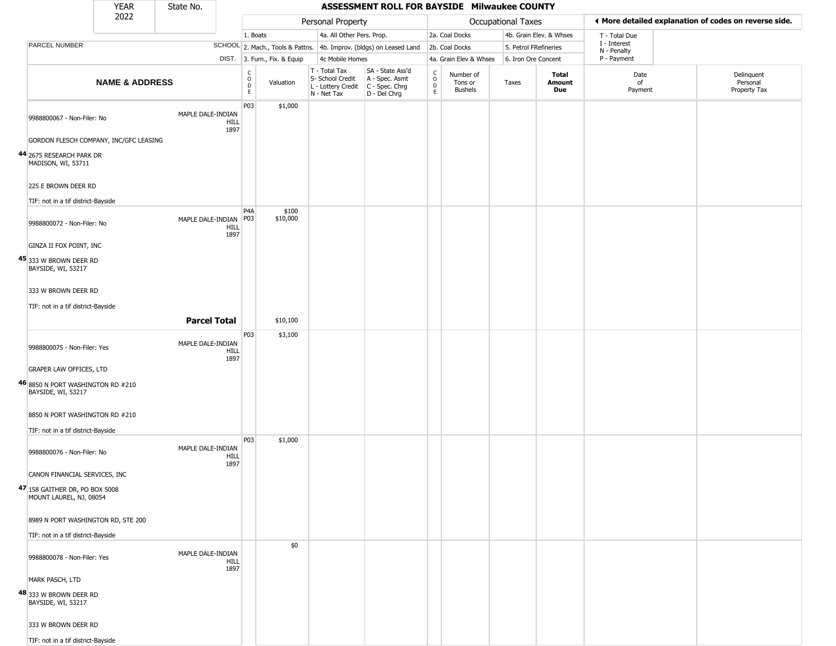|                                                             | <b>YEAR</b>               | State No.           |                                                        |                              |                                                                                         | ASSESSMENT ROLL FOR BAYSIDE Milwaukee COUNTY                        |                        |                                        |                       |                         |                             |                                                       |
|-------------------------------------------------------------|---------------------------|---------------------|--------------------------------------------------------|------------------------------|-----------------------------------------------------------------------------------------|---------------------------------------------------------------------|------------------------|----------------------------------------|-----------------------|-------------------------|-----------------------------|-------------------------------------------------------|
|                                                             | 2022                      |                     |                                                        |                              | Personal Property                                                                       |                                                                     |                        |                                        | Occupational Taxes    |                         |                             | ♦ More detailed explanation of codes on reverse side. |
|                                                             |                           |                     |                                                        | 1. Boats                     | 4a. All Other Pers. Prop.                                                               |                                                                     |                        | 2a. Coal Docks                         |                       | 4b. Grain Elev. & Whses | T - Total Due               |                                                       |
| PARCEL NUMBER                                               |                           |                     |                                                        |                              |                                                                                         | SCHOOL 2. Mach., Tools & Pattns. 4b. Improv. (bldgs) on Leased Land |                        | 2b. Coal Docks                         | 5. Petrol FRefineries |                         | I - Interest<br>N - Penalty |                                                       |
|                                                             |                           |                     |                                                        | DIST. 3. Furn., Fix. & Equip | 4c Mobile Homes                                                                         |                                                                     |                        | 4a. Grain Elev & Whses                 | 6. Iron Ore Concent   |                         | P - Payment                 |                                                       |
|                                                             | <b>NAME &amp; ADDRESS</b> |                     | $\begin{smallmatrix} C\\ O\\ D \end{smallmatrix}$<br>E | Valuation                    | T - Total Tax<br>S- School Credit<br>L - Lottery Credit   C - Spec. Chrg<br>N - Net Tax | SA - State Ass'd<br>A - Spec. Asmt<br>D - Del Chrg                  | C<br>$\circ$<br>D<br>E | Number of<br>Tons or<br><b>Bushels</b> | Taxes                 | Total<br>Amount<br>Due  | Date<br>of<br>Payment       | Delinquent<br>Personal<br>Property Tax                |
| 9988800067 - Non-Filer: No                                  |                           | MAPLE DALE-INDIAN   | P03<br>HILL<br>1897                                    | \$1,000                      |                                                                                         |                                                                     |                        |                                        |                       |                         |                             |                                                       |
| GORDON FLESCH COMPANY, INC/GFC LEASING                      |                           |                     |                                                        |                              |                                                                                         |                                                                     |                        |                                        |                       |                         |                             |                                                       |
| 44 2675 RESEARCH PARK DR<br>MADISON, WI, 53711              |                           |                     |                                                        |                              |                                                                                         |                                                                     |                        |                                        |                       |                         |                             |                                                       |
| 225 E BROWN DEER RD<br>TIF: not in a tif district-Bayside   |                           |                     |                                                        |                              |                                                                                         |                                                                     |                        |                                        |                       |                         |                             |                                                       |
|                                                             |                           |                     | P <sub>4</sub> A                                       | \$100                        |                                                                                         |                                                                     |                        |                                        |                       |                         |                             |                                                       |
| 9988800072 - Non-Filer: No                                  |                           | MAPLE DALE-INDIAN   | P03<br>HILL<br>1897                                    | \$10,000                     |                                                                                         |                                                                     |                        |                                        |                       |                         |                             |                                                       |
| GINZA II FOX POINT, INC                                     |                           |                     |                                                        |                              |                                                                                         |                                                                     |                        |                                        |                       |                         |                             |                                                       |
| <b>45</b> 333 W Brown deer RD<br>BAYSIDE, WI, 53217         |                           |                     |                                                        |                              |                                                                                         |                                                                     |                        |                                        |                       |                         |                             |                                                       |
| 333 W BROWN DEER RD                                         |                           |                     |                                                        |                              |                                                                                         |                                                                     |                        |                                        |                       |                         |                             |                                                       |
| TIF: not in a tif district-Bayside                          |                           |                     |                                                        |                              |                                                                                         |                                                                     |                        |                                        |                       |                         |                             |                                                       |
|                                                             |                           | <b>Parcel Total</b> |                                                        | \$10,100                     |                                                                                         |                                                                     |                        |                                        |                       |                         |                             |                                                       |
|                                                             |                           |                     | P03                                                    | \$3,100                      |                                                                                         |                                                                     |                        |                                        |                       |                         |                             |                                                       |
| 9988800075 - Non-Filer: Yes                                 |                           | MAPLE DALE-INDIAN   | <b>HILL</b><br>1897                                    |                              |                                                                                         |                                                                     |                        |                                        |                       |                         |                             |                                                       |
| <b>GRAPER LAW OFFICES, LTD</b>                              |                           |                     |                                                        |                              |                                                                                         |                                                                     |                        |                                        |                       |                         |                             |                                                       |
| 46 8850 N PORT WASHINGTON RD #210<br>BAYSIDE, WI, 53217     |                           |                     |                                                        |                              |                                                                                         |                                                                     |                        |                                        |                       |                         |                             |                                                       |
| 8850 N PORT WASHINGTON RD #210                              |                           |                     |                                                        |                              |                                                                                         |                                                                     |                        |                                        |                       |                         |                             |                                                       |
| TIF: not in a tif district-Bayside                          |                           |                     |                                                        |                              |                                                                                         |                                                                     |                        |                                        |                       |                         |                             |                                                       |
| 9988800076 - Non-Filer: No                                  |                           | MAPLE DALE-INDIAN   | P03<br><b>HILL</b><br>1897                             | \$1,000                      |                                                                                         |                                                                     |                        |                                        |                       |                         |                             |                                                       |
| CANON FINANCIAL SERVICES, INC                               |                           |                     |                                                        |                              |                                                                                         |                                                                     |                        |                                        |                       |                         |                             |                                                       |
| $47 158$ Gaither DR, PO BOX 5008<br>MOUNT LAUREL, NJ, 08054 |                           |                     |                                                        |                              |                                                                                         |                                                                     |                        |                                        |                       |                         |                             |                                                       |
| 8989 N PORT WASHINGTON RD, STE 200                          |                           |                     |                                                        |                              |                                                                                         |                                                                     |                        |                                        |                       |                         |                             |                                                       |
| TIF: not in a tif district-Bayside                          |                           |                     |                                                        |                              |                                                                                         |                                                                     |                        |                                        |                       |                         |                             |                                                       |
| 9988800078 - Non-Filer: Yes                                 |                           | MAPLE DALE-INDIAN   | <b>HILL</b><br>1897                                    | \$0                          |                                                                                         |                                                                     |                        |                                        |                       |                         |                             |                                                       |
| MARK PASCH, LTD                                             |                           |                     |                                                        |                              |                                                                                         |                                                                     |                        |                                        |                       |                         |                             |                                                       |
| 48 333 W BROWN DEER RD<br>BAYSIDE, WI, 53217                |                           |                     |                                                        |                              |                                                                                         |                                                                     |                        |                                        |                       |                         |                             |                                                       |
| 333 W BROWN DEER RD                                         |                           |                     |                                                        |                              |                                                                                         |                                                                     |                        |                                        |                       |                         |                             |                                                       |
| TIF: not in a tif district-Bayside                          |                           |                     |                                                        |                              |                                                                                         |                                                                     |                        |                                        |                       |                         |                             |                                                       |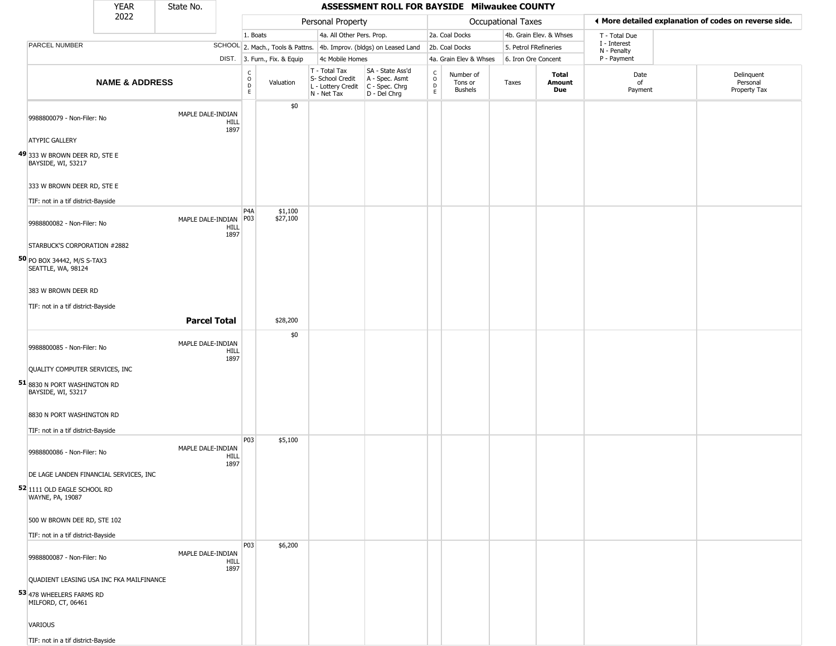|                                                                 | YEAR                      | State No.               |                            |                              |                                                                                       | ASSESSMENT ROLL FOR BAYSIDE Milwaukee COUNTY                        |                         |                                        |                       |                         |                             |                                                       |
|-----------------------------------------------------------------|---------------------------|-------------------------|----------------------------|------------------------------|---------------------------------------------------------------------------------------|---------------------------------------------------------------------|-------------------------|----------------------------------------|-----------------------|-------------------------|-----------------------------|-------------------------------------------------------|
|                                                                 | 2022                      |                         |                            |                              | Personal Property                                                                     |                                                                     |                         |                                        | Occupational Taxes    |                         |                             | ♦ More detailed explanation of codes on reverse side. |
|                                                                 |                           |                         | 1. Boats                   |                              | 4a. All Other Pers. Prop.                                                             |                                                                     |                         | 2a. Coal Docks                         |                       | 4b. Grain Elev. & Whses | T - Total Due               |                                                       |
| PARCEL NUMBER                                                   |                           |                         |                            |                              |                                                                                       | SCHOOL 2. Mach., Tools & Pattns. 4b. Improv. (bldgs) on Leased Land |                         | 2b. Coal Docks                         | 5. Petrol FRefineries |                         | I - Interest<br>N - Penalty |                                                       |
|                                                                 |                           |                         |                            | DIST. 3. Furn., Fix. & Equip | 4c Mobile Homes                                                                       |                                                                     |                         | 4a. Grain Elev & Whses                 | 6. Iron Ore Concent   |                         | P - Payment                 |                                                       |
|                                                                 | <b>NAME &amp; ADDRESS</b> |                         | $\frac{c}{0}$<br>D<br>E.   | Valuation                    | T - Total Tax<br>S- School Credit<br>L - Lottery Credit C - Spec. Chrg<br>N - Net Tax | SA - State Ass'd<br>A - Spec. Asmt<br>D - Del Chrg                  | $\frac{c}{0}$<br>D<br>E | Number of<br>Tons or<br><b>Bushels</b> | Taxes                 | Total<br>Amount<br>Due  | Date<br>of<br>Payment       | Delinquent<br>Personal<br>Property Tax                |
| 9988800079 - Non-Filer: No                                      |                           | MAPLE DALE-INDIAN       | HILL<br>1897               | \$0                          |                                                                                       |                                                                     |                         |                                        |                       |                         |                             |                                                       |
| <b>ATYPIC GALLERY</b>                                           |                           |                         |                            |                              |                                                                                       |                                                                     |                         |                                        |                       |                         |                             |                                                       |
| 49 333 W BROWN DEER RD, STE E<br>BAYSIDE, WI, 53217             |                           |                         |                            |                              |                                                                                       |                                                                     |                         |                                        |                       |                         |                             |                                                       |
| 333 W BROWN DEER RD, STE E                                      |                           |                         |                            |                              |                                                                                       |                                                                     |                         |                                        |                       |                         |                             |                                                       |
| TIF: not in a tif district-Bayside                              |                           |                         |                            |                              |                                                                                       |                                                                     |                         |                                        |                       |                         |                             |                                                       |
| 9988800082 - Non-Filer: No                                      |                           | MAPLE DALE-INDIAN   P03 | P4A<br><b>HILL</b><br>1897 | \$1,100<br>\$27,100          |                                                                                       |                                                                     |                         |                                        |                       |                         |                             |                                                       |
| STARBUCK'S CORPORATION #2882                                    |                           |                         |                            |                              |                                                                                       |                                                                     |                         |                                        |                       |                         |                             |                                                       |
| 50 PO BOX 34442, M/S S-TAX3<br>SEATTLE, WA, 98124               |                           |                         |                            |                              |                                                                                       |                                                                     |                         |                                        |                       |                         |                             |                                                       |
| 383 W BROWN DEER RD                                             |                           |                         |                            |                              |                                                                                       |                                                                     |                         |                                        |                       |                         |                             |                                                       |
| TIF: not in a tif district-Bayside                              |                           |                         |                            |                              |                                                                                       |                                                                     |                         |                                        |                       |                         |                             |                                                       |
|                                                                 |                           | <b>Parcel Total</b>     |                            | \$28,200                     |                                                                                       |                                                                     |                         |                                        |                       |                         |                             |                                                       |
| 9988800085 - Non-Filer: No                                      |                           | MAPLE DALE-INDIAN       | <b>HILL</b><br>1897        | \$0                          |                                                                                       |                                                                     |                         |                                        |                       |                         |                             |                                                       |
| QUALITY COMPUTER SERVICES, INC                                  |                           |                         |                            |                              |                                                                                       |                                                                     |                         |                                        |                       |                         |                             |                                                       |
| 51 8830 N PORT WASHINGTON RD<br>BAYSIDE, WI, 53217              |                           |                         |                            |                              |                                                                                       |                                                                     |                         |                                        |                       |                         |                             |                                                       |
| 8830 N PORT WASHINGTON RD<br>TIF: not in a tif district-Bayside |                           |                         |                            |                              |                                                                                       |                                                                     |                         |                                        |                       |                         |                             |                                                       |
| 9988800086 - Non-Filer: No                                      |                           | MAPLE DALE-INDIAN       | P03<br><b>HILL</b>         | \$5,100                      |                                                                                       |                                                                     |                         |                                        |                       |                         |                             |                                                       |
| DE LAGE LANDEN FINANCIAL SERVICES, INC                          |                           |                         | 1897                       |                              |                                                                                       |                                                                     |                         |                                        |                       |                         |                             |                                                       |
| 52 1111 OLD EAGLE SCHOOL RD<br>WAYNE, PA, 19087                 |                           |                         |                            |                              |                                                                                       |                                                                     |                         |                                        |                       |                         |                             |                                                       |
| 500 W BROWN DEE RD, STE 102                                     |                           |                         |                            |                              |                                                                                       |                                                                     |                         |                                        |                       |                         |                             |                                                       |
| TIF: not in a tif district-Bayside                              |                           |                         |                            |                              |                                                                                       |                                                                     |                         |                                        |                       |                         |                             |                                                       |
| 9988800087 - Non-Filer: No                                      |                           | MAPLE DALE-INDIAN       | P03<br>HILL<br>1897        | \$6,200                      |                                                                                       |                                                                     |                         |                                        |                       |                         |                             |                                                       |
| QUADIENT LEASING USA INC FKA MAILFINANCE                        |                           |                         |                            |                              |                                                                                       |                                                                     |                         |                                        |                       |                         |                             |                                                       |
| 53 478 WHEELERS FARMS RD<br>MILFORD, CT, 06461                  |                           |                         |                            |                              |                                                                                       |                                                                     |                         |                                        |                       |                         |                             |                                                       |
| VARIOUS                                                         |                           |                         |                            |                              |                                                                                       |                                                                     |                         |                                        |                       |                         |                             |                                                       |
| TIF: not in a tif district-Bayside                              |                           |                         |                            |                              |                                                                                       |                                                                     |                         |                                        |                       |                         |                             |                                                       |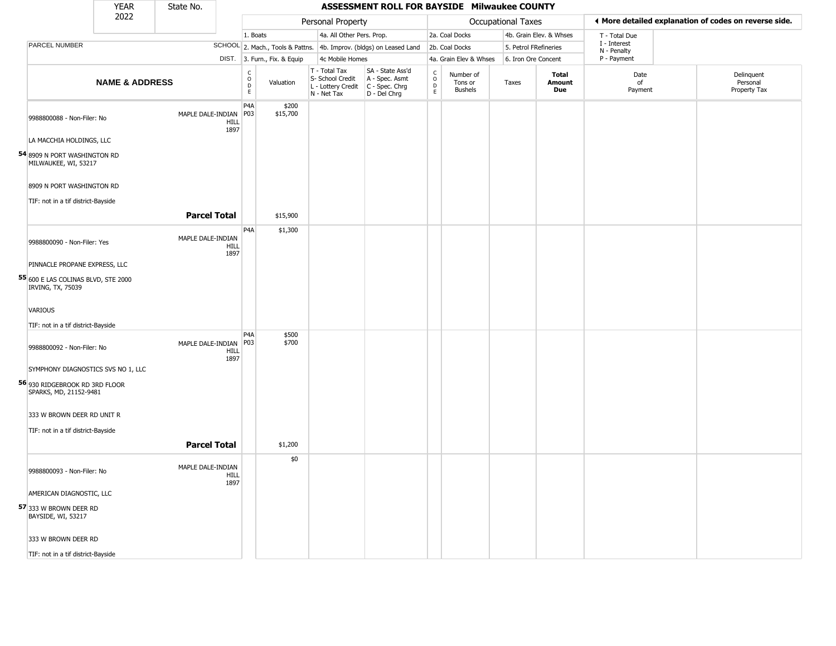|                                                          | <b>YEAR</b>               | State No.           |                     | ASSESSMENT ROLL FOR BAYSIDE Milwaukee COUNTY |                              |                                                                        |                                                                        |                                   |                                        |                    |                               |                             |  |                                                       |
|----------------------------------------------------------|---------------------------|---------------------|---------------------|----------------------------------------------|------------------------------|------------------------------------------------------------------------|------------------------------------------------------------------------|-----------------------------------|----------------------------------------|--------------------|-------------------------------|-----------------------------|--|-------------------------------------------------------|
|                                                          | 2022                      |                     |                     |                                              |                              | Personal Property                                                      |                                                                        |                                   |                                        | Occupational Taxes |                               |                             |  | ♦ More detailed explanation of codes on reverse side. |
|                                                          |                           |                     |                     | 1. Boats                                     |                              | 4a. All Other Pers. Prop.                                              |                                                                        |                                   | 2a. Coal Docks                         |                    | 4b. Grain Elev. & Whses       | T - Total Due               |  |                                                       |
| <b>PARCEL NUMBER</b>                                     |                           |                     |                     |                                              |                              |                                                                        | SCHOOL 2. Mach., Tools & Pattns. 4b. Improv. (bldgs) on Leased Land    |                                   | 2b. Coal Docks                         |                    | 5. Petrol FRefineries         | I - Interest<br>N - Penalty |  |                                                       |
|                                                          |                           |                     |                     |                                              | DIST. 3. Furn., Fix. & Equip | 4c Mobile Homes                                                        |                                                                        |                                   | 4a. Grain Elev & Whses                 |                    | 6. Iron Ore Concent           | P - Payment                 |  |                                                       |
|                                                          | <b>NAME &amp; ADDRESS</b> |                     |                     | C<br>D<br>E<br>E                             | Valuation                    | T - Total Tax<br>S- School Credit<br>L - Lottery Credit<br>N - Net Tax | SA - State Ass'd<br>A - Spec. Asmt<br>$C - Spec. Chrg$<br>D - Del Chrg | $\mathsf{C}$<br>$\circ$<br>D<br>E | Number of<br>Tons or<br><b>Bushels</b> | Taxes              | <b>Total</b><br>Amount<br>Due | Date<br>of<br>Payment       |  | Delinquent<br>Personal<br>Property Tax                |
| 9988800088 - Non-Filer: No                               |                           | MAPLE DALE-INDIAN   | HILL<br>1897        | P <sub>4</sub> A<br>P03                      | \$200<br>\$15,700            |                                                                        |                                                                        |                                   |                                        |                    |                               |                             |  |                                                       |
| LA MACCHIA HOLDINGS, LLC                                 |                           |                     |                     |                                              |                              |                                                                        |                                                                        |                                   |                                        |                    |                               |                             |  |                                                       |
| 54 8909 N PORT WASHINGTON RD<br>MILWAUKEE, WI, 53217     |                           |                     |                     |                                              |                              |                                                                        |                                                                        |                                   |                                        |                    |                               |                             |  |                                                       |
| 8909 N PORT WASHINGTON RD                                |                           |                     |                     |                                              |                              |                                                                        |                                                                        |                                   |                                        |                    |                               |                             |  |                                                       |
| TIF: not in a tif district-Bayside                       |                           |                     |                     |                                              |                              |                                                                        |                                                                        |                                   |                                        |                    |                               |                             |  |                                                       |
|                                                          |                           | <b>Parcel Total</b> |                     |                                              | \$15,900                     |                                                                        |                                                                        |                                   |                                        |                    |                               |                             |  |                                                       |
| 9988800090 - Non-Filer: Yes                              |                           | MAPLE DALE-INDIAN   | HILL<br>1897        | P <sub>4</sub> A                             | \$1,300                      |                                                                        |                                                                        |                                   |                                        |                    |                               |                             |  |                                                       |
| PINNACLE PROPANE EXPRESS, LLC                            |                           |                     |                     |                                              |                              |                                                                        |                                                                        |                                   |                                        |                    |                               |                             |  |                                                       |
| 55 600 E LAS COLINAS BLVD, STE 2000<br>IRVING, TX, 75039 |                           |                     |                     |                                              |                              |                                                                        |                                                                        |                                   |                                        |                    |                               |                             |  |                                                       |
| VARIOUS                                                  |                           |                     |                     |                                              |                              |                                                                        |                                                                        |                                   |                                        |                    |                               |                             |  |                                                       |
| TIF: not in a tif district-Bayside                       |                           |                     |                     |                                              |                              |                                                                        |                                                                        |                                   |                                        |                    |                               |                             |  |                                                       |
| 9988800092 - Non-Filer: No                               |                           | MAPLE DALE-INDIAN   | HILL<br>1897        | P <sub>4</sub> A<br>P03                      | \$500<br>\$700               |                                                                        |                                                                        |                                   |                                        |                    |                               |                             |  |                                                       |
| SYMPHONY DIAGNOSTICS SVS NO 1, LLC                       |                           |                     |                     |                                              |                              |                                                                        |                                                                        |                                   |                                        |                    |                               |                             |  |                                                       |
| 56 930 RIDGEBROOK RD 3RD FLOOR<br>SPARKS, MD, 21152-9481 |                           |                     |                     |                                              |                              |                                                                        |                                                                        |                                   |                                        |                    |                               |                             |  |                                                       |
| 333 W BROWN DEER RD UNIT R                               |                           |                     |                     |                                              |                              |                                                                        |                                                                        |                                   |                                        |                    |                               |                             |  |                                                       |
| TIF: not in a tif district-Bayside                       |                           |                     |                     |                                              |                              |                                                                        |                                                                        |                                   |                                        |                    |                               |                             |  |                                                       |
|                                                          |                           | <b>Parcel Total</b> |                     |                                              | \$1,200                      |                                                                        |                                                                        |                                   |                                        |                    |                               |                             |  |                                                       |
|                                                          |                           |                     |                     |                                              | \$0                          |                                                                        |                                                                        |                                   |                                        |                    |                               |                             |  |                                                       |
| 9988800093 - Non-Filer: No                               |                           | MAPLE DALE-INDIAN   | <b>HILL</b><br>1897 |                                              |                              |                                                                        |                                                                        |                                   |                                        |                    |                               |                             |  |                                                       |
| AMERICAN DIAGNOSTIC, LLC                                 |                           |                     |                     |                                              |                              |                                                                        |                                                                        |                                   |                                        |                    |                               |                             |  |                                                       |
| 57 333 W BROWN DEER RD<br>BAYSIDE, WI, 53217             |                           |                     |                     |                                              |                              |                                                                        |                                                                        |                                   |                                        |                    |                               |                             |  |                                                       |
| 333 W BROWN DEER RD                                      |                           |                     |                     |                                              |                              |                                                                        |                                                                        |                                   |                                        |                    |                               |                             |  |                                                       |
| TIF: not in a tif district-Bayside                       |                           |                     |                     |                                              |                              |                                                                        |                                                                        |                                   |                                        |                    |                               |                             |  |                                                       |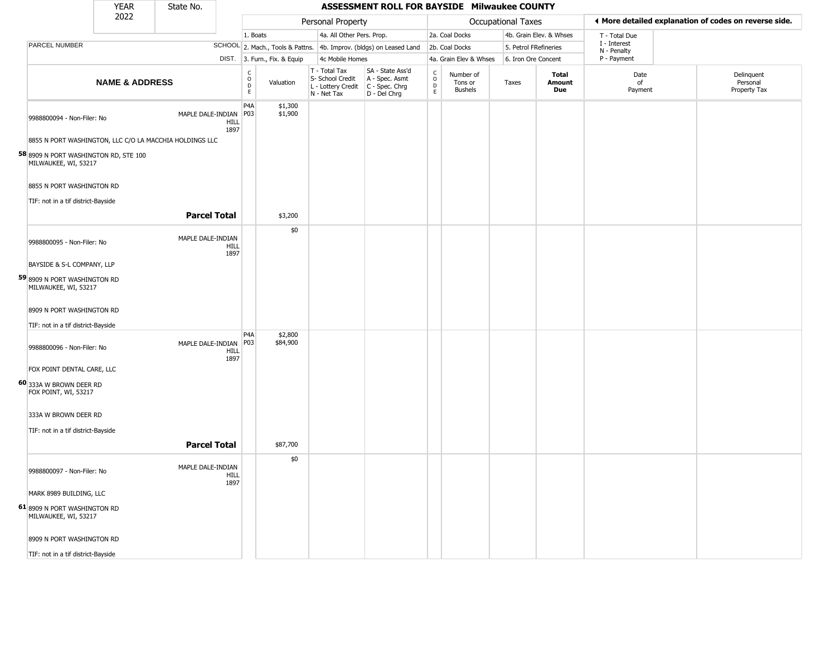|                                                               | <b>YEAR</b>               | State No.           |                     | ASSESSMENT ROLL FOR BAYSIDE Milwaukee COUNTY |                              |                                                                        |                                                                        |                                   |                                        |                    |                               |                             |  |                                                       |
|---------------------------------------------------------------|---------------------------|---------------------|---------------------|----------------------------------------------|------------------------------|------------------------------------------------------------------------|------------------------------------------------------------------------|-----------------------------------|----------------------------------------|--------------------|-------------------------------|-----------------------------|--|-------------------------------------------------------|
|                                                               | 2022                      |                     |                     |                                              |                              | Personal Property                                                      |                                                                        |                                   |                                        | Occupational Taxes |                               |                             |  | ♦ More detailed explanation of codes on reverse side. |
|                                                               |                           |                     |                     | 1. Boats                                     |                              | 4a. All Other Pers. Prop.                                              |                                                                        |                                   | 2a. Coal Docks                         |                    | 4b. Grain Elev. & Whses       | T - Total Due               |  |                                                       |
| <b>PARCEL NUMBER</b>                                          |                           |                     |                     |                                              |                              |                                                                        | SCHOOL 2. Mach., Tools & Pattns. 4b. Improv. (bldgs) on Leased Land    |                                   | 2b. Coal Docks                         |                    | 5. Petrol FRefineries         | I - Interest<br>N - Penalty |  |                                                       |
|                                                               |                           |                     |                     |                                              | DIST. 3. Furn., Fix. & Equip | 4c Mobile Homes                                                        |                                                                        |                                   | 4a. Grain Elev & Whses                 |                    | 6. Iron Ore Concent           | P - Payment                 |  |                                                       |
|                                                               | <b>NAME &amp; ADDRESS</b> |                     |                     | $\rm _o^C$<br>$\mathsf D$<br>E               | Valuation                    | T - Total Tax<br>S- School Credit<br>L - Lottery Credit<br>N - Net Tax | SA - State Ass'd<br>A - Spec. Asmt<br>$C - Spec. Chrg$<br>D - Del Chrg | $\mathsf{C}$<br>$\circ$<br>D<br>E | Number of<br>Tons or<br><b>Bushels</b> | Taxes              | <b>Total</b><br>Amount<br>Due | Date<br>of<br>Payment       |  | Delinquent<br>Personal<br>Property Tax                |
| 9988800094 - Non-Filer: No                                    |                           | MAPLE DALE-INDIAN   | <b>HILL</b><br>1897 | P4A<br>P03                                   | \$1,300<br>\$1,900           |                                                                        |                                                                        |                                   |                                        |                    |                               |                             |  |                                                       |
| 8855 N PORT WASHINGTON, LLC C/O LA MACCHIA HOLDINGS LLC       |                           |                     |                     |                                              |                              |                                                                        |                                                                        |                                   |                                        |                    |                               |                             |  |                                                       |
| 58 8909 N PORT WASHINGTON RD, STE 100<br>MILWAUKEE, WI, 53217 |                           |                     |                     |                                              |                              |                                                                        |                                                                        |                                   |                                        |                    |                               |                             |  |                                                       |
| 8855 N PORT WASHINGTON RD                                     |                           |                     |                     |                                              |                              |                                                                        |                                                                        |                                   |                                        |                    |                               |                             |  |                                                       |
| TIF: not in a tif district-Bayside                            |                           |                     |                     |                                              |                              |                                                                        |                                                                        |                                   |                                        |                    |                               |                             |  |                                                       |
|                                                               |                           | <b>Parcel Total</b> |                     |                                              | \$3,200                      |                                                                        |                                                                        |                                   |                                        |                    |                               |                             |  |                                                       |
| 9988800095 - Non-Filer: No                                    |                           | MAPLE DALE-INDIAN   | HILL<br>1897        |                                              | \$0                          |                                                                        |                                                                        |                                   |                                        |                    |                               |                             |  |                                                       |
| BAYSIDE & S-L COMPANY, LLP                                    |                           |                     |                     |                                              |                              |                                                                        |                                                                        |                                   |                                        |                    |                               |                             |  |                                                       |
| 59 8909 N PORT WASHINGTON RD<br>MILWAUKEE, WI, 53217          |                           |                     |                     |                                              |                              |                                                                        |                                                                        |                                   |                                        |                    |                               |                             |  |                                                       |
| 8909 N PORT WASHINGTON RD                                     |                           |                     |                     |                                              |                              |                                                                        |                                                                        |                                   |                                        |                    |                               |                             |  |                                                       |
| TIF: not in a tif district-Bayside                            |                           |                     |                     |                                              |                              |                                                                        |                                                                        |                                   |                                        |                    |                               |                             |  |                                                       |
| 9988800096 - Non-Filer: No                                    |                           | MAPLE DALE-INDIAN   | <b>HILL</b><br>1897 | P <sub>4</sub> A<br>P03                      | \$2,800<br>\$84,900          |                                                                        |                                                                        |                                   |                                        |                    |                               |                             |  |                                                       |
| FOX POINT DENTAL CARE, LLC                                    |                           |                     |                     |                                              |                              |                                                                        |                                                                        |                                   |                                        |                    |                               |                             |  |                                                       |
| 60 333A W BROWN DEER RD<br>FOX POINT, WI, 53217               |                           |                     |                     |                                              |                              |                                                                        |                                                                        |                                   |                                        |                    |                               |                             |  |                                                       |
| 333A W BROWN DEER RD                                          |                           |                     |                     |                                              |                              |                                                                        |                                                                        |                                   |                                        |                    |                               |                             |  |                                                       |
| TIF: not in a tif district-Bayside                            |                           |                     |                     |                                              |                              |                                                                        |                                                                        |                                   |                                        |                    |                               |                             |  |                                                       |
|                                                               |                           | <b>Parcel Total</b> |                     |                                              | \$87,700                     |                                                                        |                                                                        |                                   |                                        |                    |                               |                             |  |                                                       |
| 9988800097 - Non-Filer: No                                    |                           | MAPLE DALE-INDIAN   | <b>HILL</b><br>1897 |                                              | \$0                          |                                                                        |                                                                        |                                   |                                        |                    |                               |                             |  |                                                       |
| MARK 8989 BUILDING, LLC                                       |                           |                     |                     |                                              |                              |                                                                        |                                                                        |                                   |                                        |                    |                               |                             |  |                                                       |
| 61 8909 N PORT WASHINGTON RD<br>MILWAUKEE, WI, 53217          |                           |                     |                     |                                              |                              |                                                                        |                                                                        |                                   |                                        |                    |                               |                             |  |                                                       |
| 8909 N PORT WASHINGTON RD                                     |                           |                     |                     |                                              |                              |                                                                        |                                                                        |                                   |                                        |                    |                               |                             |  |                                                       |
| TIF: not in a tif district-Bayside                            |                           |                     |                     |                                              |                              |                                                                        |                                                                        |                                   |                                        |                    |                               |                             |  |                                                       |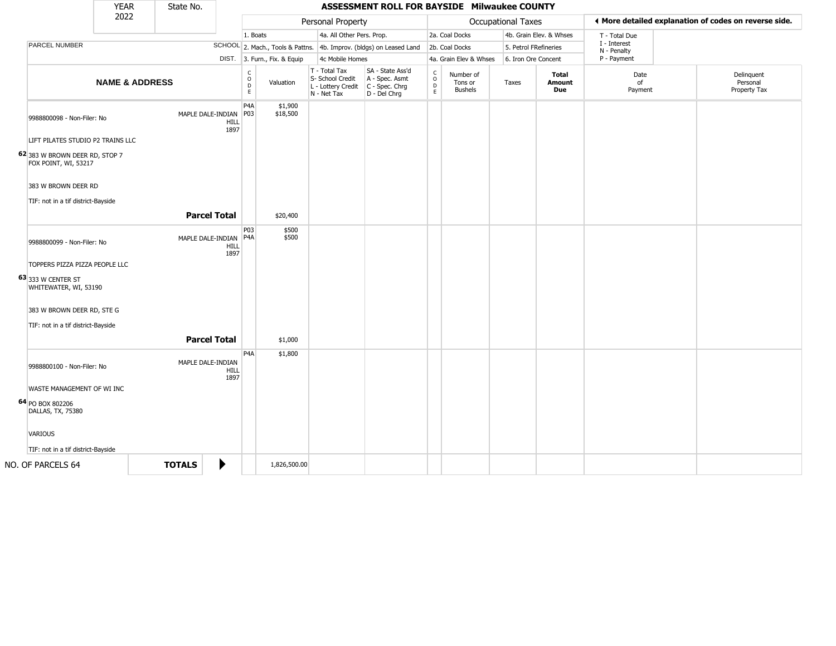|                                                                              | <b>YEAR</b>               | State No.     |                                   |                                                 |                              |                                                                        | ASSESSMENT ROLL FOR BAYSIDE Milwaukee COUNTY                             |                              |                                        |                       |                               |                             |  |                                                       |
|------------------------------------------------------------------------------|---------------------------|---------------|-----------------------------------|-------------------------------------------------|------------------------------|------------------------------------------------------------------------|--------------------------------------------------------------------------|------------------------------|----------------------------------------|-----------------------|-------------------------------|-----------------------------|--|-------------------------------------------------------|
|                                                                              | 2022                      |               |                                   |                                                 |                              | Personal Property                                                      |                                                                          |                              |                                        | Occupational Taxes    |                               |                             |  | ♦ More detailed explanation of codes on reverse side. |
|                                                                              |                           |               |                                   | 1. Boats                                        |                              | 4a. All Other Pers. Prop.                                              |                                                                          |                              | 2a. Coal Docks                         |                       | 4b. Grain Elev. & Whses       | T - Total Due               |  |                                                       |
| <b>PARCEL NUMBER</b>                                                         |                           |               |                                   |                                                 |                              |                                                                        | SCHOOL 2. Mach., Tools & Pattns. 4b. Improv. (bldgs) on Leased Land      |                              | 2b. Coal Docks                         | 5. Petrol FRefineries |                               | I - Interest<br>N - Penalty |  |                                                       |
|                                                                              |                           |               |                                   |                                                 | DIST. 3. Furn., Fix. & Equip | 4c Mobile Homes                                                        |                                                                          |                              | 4a. Grain Elev & Whses                 | 6. Iron Ore Concent   |                               | P - Payment                 |  |                                                       |
|                                                                              | <b>NAME &amp; ADDRESS</b> |               |                                   | $\mathsf{C}$<br>$\mathsf O$<br>D<br>$\mathsf E$ | Valuation                    | T - Total Tax<br>S- School Credit<br>L - Lottery Credit<br>N - Net Tax | SA - State Ass'd<br>A - Spec. Asmt<br>$ C - Spec. Chrg $<br>D - Del Chrg | $_{\rm o}^{\rm c}$<br>D<br>E | Number of<br>Tons or<br><b>Bushels</b> | Taxes                 | <b>Total</b><br>Amount<br>Due | Date<br>of<br>Payment       |  | Delinquent<br>Personal<br>Property Tax                |
| 9988800098 - Non-Filer: No<br>LIFT PILATES STUDIO P2 TRAINS LLC              |                           |               | MAPLE DALE-INDIAN<br>HILL<br>1897 | P <sub>4</sub> A<br>P03                         | \$1,900<br>\$18,500          |                                                                        |                                                                          |                              |                                        |                       |                               |                             |  |                                                       |
| 62 383 W BROWN DEER RD, STOP 7<br>FOX POINT, WI, 53217                       |                           |               |                                   |                                                 |                              |                                                                        |                                                                          |                              |                                        |                       |                               |                             |  |                                                       |
| 383 W BROWN DEER RD<br>TIF: not in a tif district-Bayside                    |                           |               |                                   |                                                 |                              |                                                                        |                                                                          |                              |                                        |                       |                               |                             |  |                                                       |
|                                                                              |                           |               | <b>Parcel Total</b>               |                                                 | \$20,400                     |                                                                        |                                                                          |                              |                                        |                       |                               |                             |  |                                                       |
| 9988800099 - Non-Filer: No                                                   |                           |               | MAPLE DALE-INDIAN<br>HILL<br>1897 | P03<br>P <sub>4</sub> A                         | \$500<br>\$500               |                                                                        |                                                                          |                              |                                        |                       |                               |                             |  |                                                       |
| TOPPERS PIZZA PIZZA PEOPLE LLC<br>63 33 W CENTER ST<br>WHITEWATER, WI, 53190 |                           |               |                                   |                                                 |                              |                                                                        |                                                                          |                              |                                        |                       |                               |                             |  |                                                       |
| 383 W BROWN DEER RD, STE G                                                   |                           |               |                                   |                                                 |                              |                                                                        |                                                                          |                              |                                        |                       |                               |                             |  |                                                       |
| TIF: not in a tif district-Bayside                                           |                           |               | <b>Parcel Total</b>               |                                                 | \$1,000                      |                                                                        |                                                                          |                              |                                        |                       |                               |                             |  |                                                       |
| 9988800100 - Non-Filer: No                                                   |                           |               | MAPLE DALE-INDIAN<br>HILL<br>1897 | P <sub>4</sub> A                                | \$1,800                      |                                                                        |                                                                          |                              |                                        |                       |                               |                             |  |                                                       |
| WASTE MANAGEMENT OF WI INC                                                   |                           |               |                                   |                                                 |                              |                                                                        |                                                                          |                              |                                        |                       |                               |                             |  |                                                       |
| 64 PO BOX 802206<br>DALLAS, TX, 75380                                        |                           |               |                                   |                                                 |                              |                                                                        |                                                                          |                              |                                        |                       |                               |                             |  |                                                       |
| <b>VARIOUS</b>                                                               |                           |               |                                   |                                                 |                              |                                                                        |                                                                          |                              |                                        |                       |                               |                             |  |                                                       |
| TIF: not in a tif district-Bayside                                           |                           |               |                                   |                                                 |                              |                                                                        |                                                                          |                              |                                        |                       |                               |                             |  |                                                       |
| NO. OF PARCELS 64                                                            |                           | <b>TOTALS</b> | ▶                                 |                                                 | 1,826,500.00                 |                                                                        |                                                                          |                              |                                        |                       |                               |                             |  |                                                       |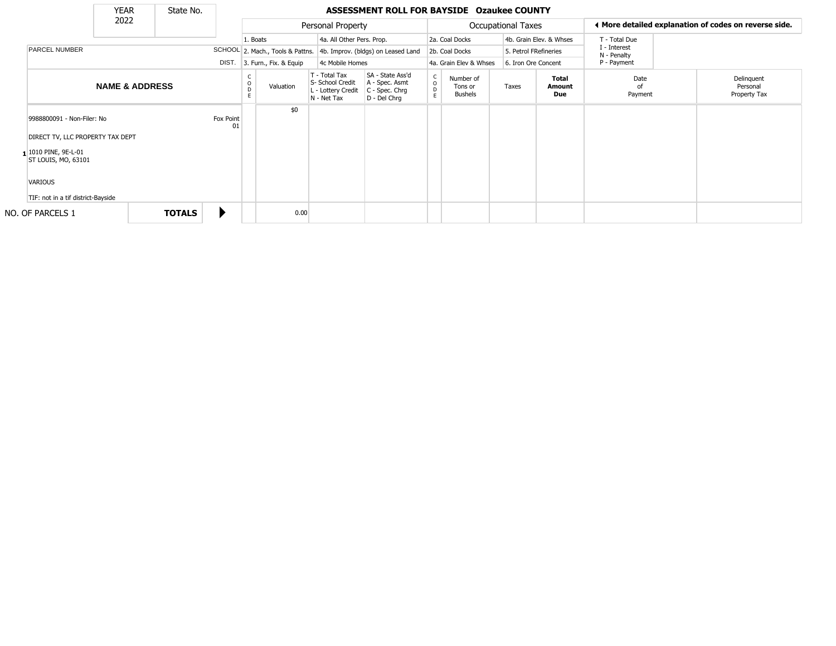|                                             | <b>YEAR</b>               |       | State No.              |                 |                        |                                  |                                                                        | ASSESSMENT ROLL FOR BAYSIDE Ozaukee COUNTY                           |                              |                                         |                           |                             |                                                       |                       |  |                                        |
|---------------------------------------------|---------------------------|-------|------------------------|-----------------|------------------------|----------------------------------|------------------------------------------------------------------------|----------------------------------------------------------------------|------------------------------|-----------------------------------------|---------------------------|-----------------------------|-------------------------------------------------------|-----------------------|--|----------------------------------------|
| 2022                                        |                           |       |                        |                 |                        | Personal Property                |                                                                        |                                                                      |                              |                                         | <b>Occupational Taxes</b> |                             | ◀ More detailed explanation of codes on reverse side. |                       |  |                                        |
|                                             |                           |       |                        |                 | 1. Boats               |                                  | 4a. All Other Pers. Prop.                                              |                                                                      |                              | 2a. Coal Docks                          |                           |                             | 4b. Grain Elev. & Whses                               | T - Total Due         |  |                                        |
| PARCEL NUMBER                               |                           |       |                        |                 |                        | SCHOOL 2. Mach., Tools & Pattns. |                                                                        | 4b. Improv. (bldgs) on Leased Land                                   |                              | 5. Petrol FRefineries<br>2b. Coal Docks |                           | I - Interest<br>N - Penalty |                                                       |                       |  |                                        |
|                                             |                           | DIST. | 3. Furn., Fix. & Equip |                 |                        | 4c Mobile Homes                  |                                                                        | 4a. Grain Elev & Whses                                               |                              | 6. Iron Ore Concent                     |                           | P - Payment                 |                                                       |                       |  |                                        |
|                                             | <b>NAME &amp; ADDRESS</b> |       |                        |                 | C<br>$\circ$<br>D<br>F | Valuation                        | T - Total Tax<br>S- School Credit<br>L - Lottery Credit<br>N - Net Tax | SA - State Ass'd<br>A - Spec. Asmt<br>C - Spec. Chrg<br>D - Del Chrq | $_{\rm o}^{\rm c}$<br>D<br>E | Number of<br>Tons or<br><b>Bushels</b>  |                           | Taxes                       | <b>Total</b><br>Amount<br>Due                         | Date<br>0f<br>Payment |  | Delinquent<br>Personal<br>Property Tax |
| 9988800091 - Non-Filer: No                  |                           |       |                        | Fox Point<br>01 |                        | \$0                              |                                                                        |                                                                      |                              |                                         |                           |                             |                                                       |                       |  |                                        |
| DIRECT TV, LLC PROPERTY TAX DEPT            |                           |       |                        |                 |                        |                                  |                                                                        |                                                                      |                              |                                         |                           |                             |                                                       |                       |  |                                        |
| 1 1010 PINE, 9E-L-01<br>ST LOUIS, MO, 63101 |                           |       |                        |                 |                        |                                  |                                                                        |                                                                      |                              |                                         |                           |                             |                                                       |                       |  |                                        |
| VARIOUS                                     |                           |       |                        |                 |                        |                                  |                                                                        |                                                                      |                              |                                         |                           |                             |                                                       |                       |  |                                        |
| TIF: not in a tif district-Bayside          |                           |       |                        |                 |                        |                                  |                                                                        |                                                                      |                              |                                         |                           |                             |                                                       |                       |  |                                        |
| NO. OF PARCELS 1                            |                           |       | <b>TOTALS</b>          |                 |                        | 0.00                             |                                                                        |                                                                      |                              |                                         |                           |                             |                                                       |                       |  |                                        |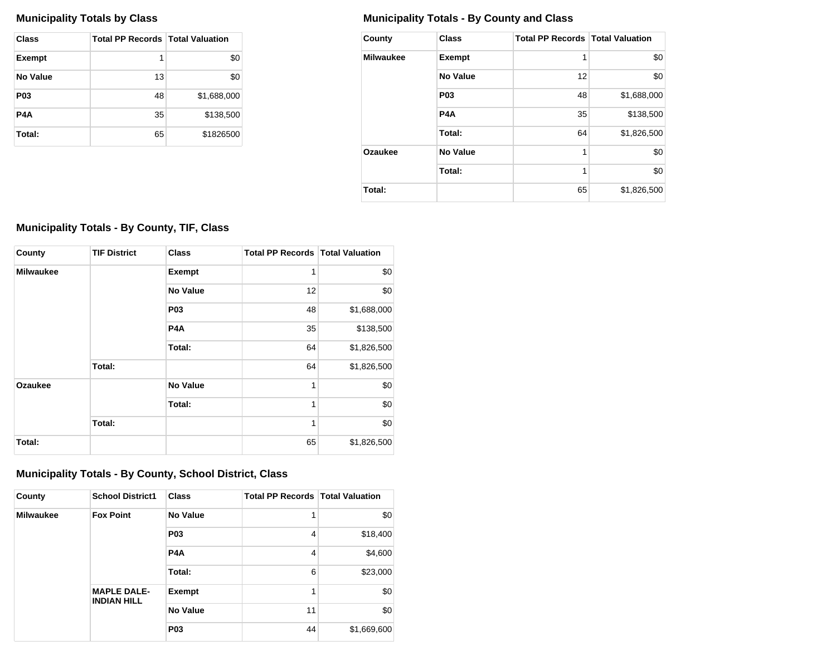| <b>Class</b>  | <b>Total PP Records   Total Valuation</b> |             |
|---------------|-------------------------------------------|-------------|
| <b>Exempt</b> | 1                                         | \$0         |
| No Value      | 13                                        | \$0         |
| <b>P03</b>    | 48                                        | \$1,688,000 |
| P4A           | 35                                        | \$138,500   |
| Total:        | 65                                        | \$1826500   |

### **Municipality Totals by Class Municipality Totals - By County and Class**

| County           | <b>Class</b>     | <b>Total PP Records   Total Valuation</b> |             |
|------------------|------------------|-------------------------------------------|-------------|
| <b>Milwaukee</b> | <b>Exempt</b>    | 1                                         | \$0         |
|                  | No Value         | 12                                        | \$0         |
|                  | P <sub>0</sub> 3 | 48                                        | \$1,688,000 |
|                  | P <sub>4</sub> A | 35                                        | \$138,500   |
|                  | Total:           | 64                                        | \$1,826,500 |
| Ozaukee          | No Value         | 1                                         | \$0         |
|                  | Total:           | 1                                         | \$0         |
| Total:           |                  | 65                                        | \$1,826,500 |

## **Municipality Totals - By County, TIF, Class**

| County           | <b>TIF District</b> | <b>Class</b>     | <b>Total PP Records   Total Valuation</b> |             |
|------------------|---------------------|------------------|-------------------------------------------|-------------|
| <b>Milwaukee</b> |                     | <b>Exempt</b>    | 1                                         | \$0         |
|                  |                     | <b>No Value</b>  | 12                                        | \$0         |
|                  |                     | P <sub>03</sub>  | 48                                        | \$1,688,000 |
|                  |                     | P <sub>4</sub> A | 35                                        | \$138,500   |
|                  |                     | Total:           | 64                                        | \$1,826,500 |
|                  | Total:              |                  | 64                                        | \$1,826,500 |
| Ozaukee          |                     | <b>No Value</b>  | 1                                         | \$0         |
|                  |                     | Total:           | 1                                         | \$0         |
|                  | Total:              |                  | 1                                         | \$0         |
| Total:           |                     |                  | 65                                        | \$1,826,500 |

# **Municipality Totals - By County, School District, Class**

| County           | <b>School District1</b>                  | <b>Class</b>     | <b>Total PP Records Total Valuation</b> |             |
|------------------|------------------------------------------|------------------|-----------------------------------------|-------------|
| <b>Milwaukee</b> | <b>Fox Point</b>                         | <b>No Value</b>  | 1                                       | \$0         |
|                  |                                          | <b>P03</b>       | 4                                       | \$18,400    |
|                  |                                          | P <sub>4</sub> A | 4                                       | \$4,600     |
|                  |                                          | Total:           | 6                                       | \$23,000    |
|                  | <b>MAPLE DALE-</b><br><b>INDIAN HILL</b> | Exempt           | 1                                       | \$0         |
|                  |                                          | <b>No Value</b>  | 11                                      | \$0         |
|                  |                                          | <b>P03</b>       |                                         | \$1,669,600 |